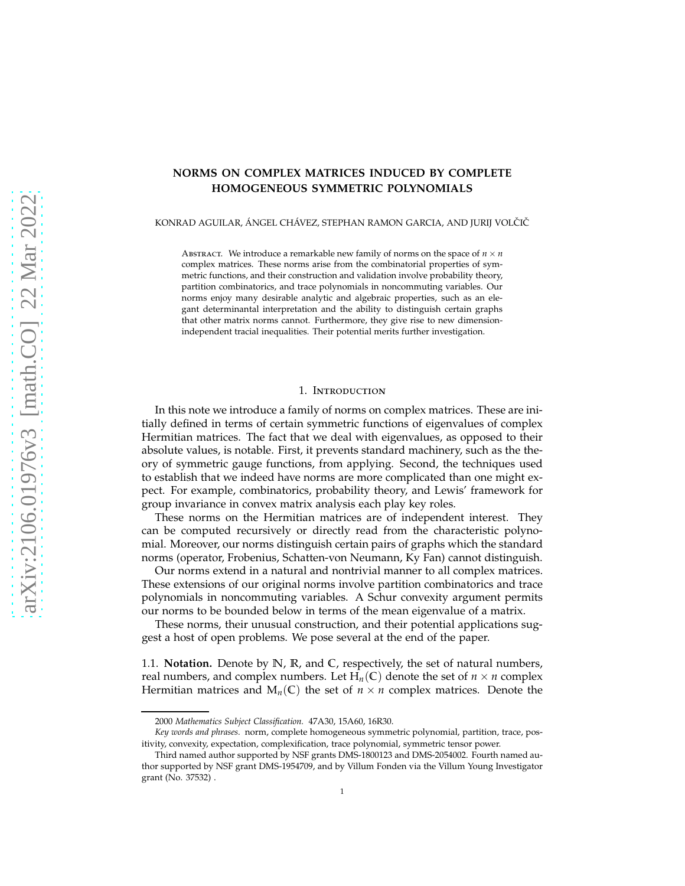# **NORMS ON COMPLEX MATRICES INDUCED BY COMPLETE HOMOGENEOUS SYMMETRIC POLYNOMIALS**

KONRAD AGUILAR, ÁNGEL CHÁVEZ, STEPHAN RAMON GARCIA, AND JURIJ VOLČIČ

ABSTRACT. We introduce a remarkable new family of norms on the space of  $n \times n$ complex matrices. These norms arise from the combinatorial properties of symmetric functions, and their construction and validation involve probability theory, partition combinatorics, and trace polynomials in noncommuting variables. Our norms enjoy many desirable analytic and algebraic properties, such as an elegant determinantal interpretation and the ability to distinguish certain graphs that other matrix norms cannot. Furthermore, they give rise to new dimensionindependent tracial inequalities. Their potential merits further investigation.

## 1. Introduction

In this note we introduce a family of norms on complex matrices. These are initially defined in terms of certain symmetric functions of eigenvalues of complex Hermitian matrices. The fact that we deal with eigenvalues, as opposed to their absolute values, is notable. First, it prevents standard machinery, such as the theory of symmetric gauge functions, from applying. Second, the techniques used to establish that we indeed have norms are more complicated than one might expect. For example, combinatorics, probability theory, and Lewis' framework for group invariance in convex matrix analysis each play key roles.

These norms on the Hermitian matrices are of independent interest. They can be computed recursively or directly read from the characteristic polynomial. Moreover, our norms distinguish certain pairs of graphs which the standard norms (operator, Frobenius, Schatten-von Neumann, Ky Fan) cannot distinguish.

Our norms extend in a natural and nontrivial manner to all complex matrices. These extensions of our original norms involve partition combinatorics and trace polynomials in noncommuting variables. A Schur convexity argument permits our norms to be bounded below in terms of the mean eigenvalue of a matrix.

These norms, their unusual construction, and their potential applications suggest a host of open problems. We pose several at the end of the paper.

1.1. **Notation.** Denote by **N**, **R**, and **C**, respectively, the set of natural numbers, real numbers, and complex numbers. Let  $H_n(\mathbb{C})$  denote the set of  $n \times n$  complex Hermitian matrices and  $M_n(\mathbb{C})$  the set of  $n \times n$  complex matrices. Denote the

<sup>2000</sup> *Mathematics Subject Classification.* 47A30, 15A60, 16R30.

*Key words and phrases.* norm, complete homogeneous symmetric polynomial, partition, trace, positivity, convexity, expectation, complexification, trace polynomial, symmetric tensor power.

Third named author supported by NSF grants DMS-1800123 and DMS-2054002. Fourth named author supported by NSF grant DMS-1954709, and by Villum Fonden via the Villum Young Investigator grant (No. 37532) .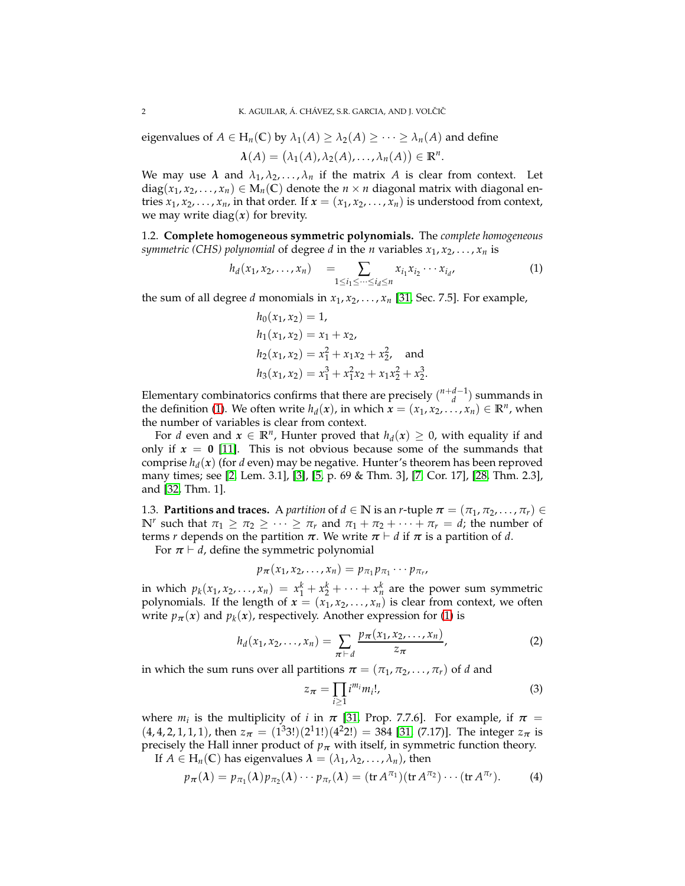eigenvalues of  $A \in H_n(\mathbb{C})$  by  $\lambda_1(A) \geq \lambda_2(A) \geq \cdots \geq \lambda_n(A)$  and define

$$
\lambda(A) = (\lambda_1(A), \lambda_2(A), \ldots, \lambda_n(A)) \in \mathbb{R}^n.
$$

We may use  $\lambda$  and  $\lambda_1, \lambda_2, \ldots, \lambda_n$  if the matrix  $A$  is clear from context. Let diag( $x_1, x_2, ..., x_n$ )  $\in M_n(\mathbb{C})$  denote the  $n \times n$  diagonal matrix with diagonal entries  $x_1, x_2, \ldots, x_n$ , in that order. If  $x = (x_1, x_2, \ldots, x_n)$  is understood from context, we may write diag $(x)$  for brevity.

1.2. **Complete homogeneous symmetric polynomials.** The *complete homogeneous symmetric (CHS) polynomial* of degree *d* in the *n* variables  $x_1, x_2, \ldots, x_n$  is

$$
h_d(x_1, x_2, \dots, x_n) = \sum_{1 \le i_1 \le \dots \le i_d \le n} x_{i_1} x_{i_2} \cdots x_{i_d}, \tag{1}
$$

the sum of all degree *d* monomials in  $x_1, x_2, \ldots, x_n$  [\[31,](#page-18-0) Sec. 7.5]. For example,

<span id="page-1-0"></span>
$$
h_0(x_1, x_2) = 1,
$$
  
\n
$$
h_1(x_1, x_2) = x_1 + x_2,
$$
  
\n
$$
h_2(x_1, x_2) = x_1^2 + x_1x_2 + x_2^2,
$$
 and  
\n
$$
h_3(x_1, x_2) = x_1^3 + x_1^2x_2 + x_1x_2^2 + x_2^3.
$$

Elementary combinatorics confirms that there are precisely  $\binom{n+d-1}{d}$  summands in the definition [\(1\)](#page-1-0). We often write  $h_d(x)$ , in which  $\mathbf{x} = (x_1, x_2, \ldots, x_n) \in \mathbb{R}^n$ , when the number of variables is clear from context.

For *d* even and  $x \in \mathbb{R}^n$ , Hunter proved that  $h_d(x) \geq 0$ , with equality if and only if  $x = 0$  [\[11\]](#page-17-0). This is not obvious because some of the summands that comprise *h<sup>d</sup>* (*x*) (for *d* even) may be negative. Hunter's theorem has been reproved many times; see [\[2,](#page-17-1) Lem. 3.1], [\[3\]](#page-17-2), [\[5,](#page-17-3) p. 69 & Thm. 3], [\[7,](#page-17-4) Cor. 17], [\[28,](#page-18-1) Thm. 2.3], and [\[32,](#page-18-2) Thm. 1].

1.3. **Partitions and traces.** A *partition* of  $d \in \mathbb{N}$  is an *r*-tuple  $\pi = (\pi_1, \pi_2, ..., \pi_r) \in$ **N**<sup>*r*</sup> such that  $\pi_1 \geq \pi_2 \geq \cdots \geq \pi_r$  and  $\pi_1 + \pi_2 + \cdots + \pi_r = d$ ; the number of terms *r* depends on the partition  $π$ . We write  $π$   $\vdash$  *d* if  $π$  is a partition of *d*.

For  $\pi \vdash d$ , define the symmetric polynomial

$$
p_{\pi}(x_1,x_2,\ldots,x_n)=p_{\pi_1}p_{\pi_1}\cdots p_{\pi_r},
$$

in which  $p_k(x_1, x_2, \ldots, x_n) = x_1^k + x_2^k + \cdots + x_n^k$  are the power sum symmetric polynomials. If the length of  $x = (x_1, x_2, \ldots, x_n)$  is clear from context, we often write  $p_{\pi}(x)$  and  $p_k(x)$ , respectively. Another expression for [\(1\)](#page-1-0) is

$$
h_d(x_1, x_2, \dots, x_n) = \sum_{\pi \vdash d} \frac{p_{\pi}(x_1, x_2, \dots, x_n)}{z_{\pi}},
$$
 (2)

in which the sum runs over all partitions  $\boldsymbol{\pi} = (\pi_1, \pi_2, \dots, \pi_r)$  of *d* and

<span id="page-1-3"></span><span id="page-1-2"></span><span id="page-1-1"></span>
$$
z_{\pi} = \prod_{i \ge 1} i^{m_i} m_i!, \qquad (3)
$$

where  $m_i$  is the multiplicity of *i* in  $\pi$  [\[31,](#page-18-0) Prop. 7.7.6]. For example, if  $\pi$  =  $(4, 4, 2, 1, 1, 1)$ , then  $z_{\pi} = (1^3 3!) (2^1 1!) (4^2 2!) = 384 [31, (7.17)]$  $z_{\pi} = (1^3 3!) (2^1 1!) (4^2 2!) = 384 [31, (7.17)]$  $z_{\pi} = (1^3 3!) (2^1 1!) (4^2 2!) = 384 [31, (7.17)]$ . The integer  $z_{\pi}$  is precisely the Hall inner product of  $p_\pi$  with itself, in symmetric function theory.

If  $A \in H_n(\mathbb{C})$  has eigenvalues  $\lambda = (\lambda_1, \lambda_2, \dots, \lambda_n)$ , then

$$
p_{\pi}(\lambda) = p_{\pi_1}(\lambda) p_{\pi_2}(\lambda) \cdots p_{\pi_r}(\lambda) = (\text{tr } A^{\pi_1})(\text{tr } A^{\pi_2}) \cdots (\text{tr } A^{\pi_r}).
$$
 (4)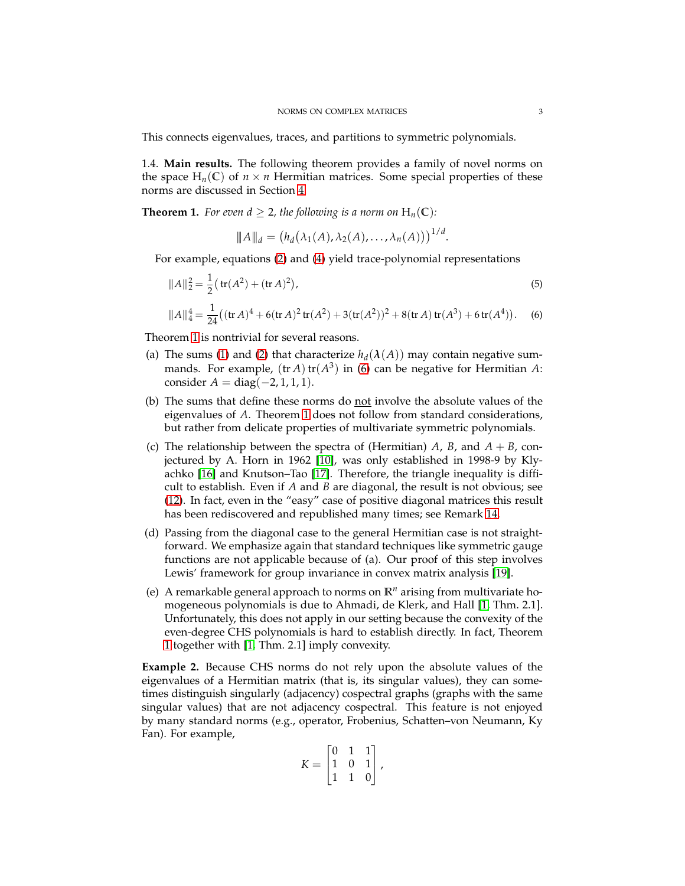This connects eigenvalues, traces, and partitions to symmetric polynomials.

1.4. **Main results.** The following theorem provides a family of novel norms on the space  $H_n(\mathbb{C})$  of  $n \times n$  Hermitian matrices. Some special properties of these norms are discussed in Section [4.](#page-9-0)

<span id="page-2-0"></span>**Theorem 1.** *For even*  $d \geq 2$ *, the following is a norm on*  $H_n(\mathbb{C})$ *:* 

<span id="page-2-2"></span><span id="page-2-1"></span>
$$
||A||_d = (h_d(\lambda_1(A), \lambda_2(A), \ldots, \lambda_n(A)))^{1/d}.
$$

For example, equations [\(2\)](#page-1-1) and [\(4\)](#page-1-2) yield trace-polynomial representations

$$
\|A\|_{2}^{2} = \frac{1}{2} \left( \operatorname{tr}(A^{2}) + (\operatorname{tr} A)^{2} \right),
$$
\n
$$
\|A\|_{4}^{4} = \frac{1}{24} \left( (\operatorname{tr} A)^{4} + 6(\operatorname{tr} A)^{2} \operatorname{tr}(A^{2}) + 3(\operatorname{tr}(A^{2}))^{2} + 8(\operatorname{tr} A) \operatorname{tr}(A^{3}) + 6 \operatorname{tr}(A^{4}) \right).
$$
\n(6)

Theorem [1](#page-2-0) is nontrivial for several reasons.

- (a) The sums [\(1\)](#page-1-0) and [\(2\)](#page-1-1) that characterize  $h_d(\lambda(A))$  may contain negative summands. For example,  $(tr A) tr(A^3)$  in [\(6\)](#page-2-1) can be negative for Hermitian A: consider  $A = diag(-2, 1, 1, 1)$ .
- (b) The sums that define these norms do not involve the absolute values of the eigenvalues of *A*. Theorem [1](#page-2-0) does not follow from standard considerations, but rather from delicate properties of multivariate symmetric polynomials.
- (c) The relationship between the spectra of (Hermitian)  $A$ ,  $B$ , and  $A + B$ , conjectured by A. Horn in 1962 [\[10\]](#page-17-5), was only established in 1998-9 by Klyachko [\[16\]](#page-18-3) and Knutson–Tao [\[17\]](#page-18-4). Therefore, the triangle inequality is difficult to establish. Even if *A* and *B* are diagonal, the result is not obvious; see [\(12\)](#page-6-0). In fact, even in the "easy" case of positive diagonal matrices this result has been rediscovered and republished many times; see Remark [14.](#page-7-0)
- (d) Passing from the diagonal case to the general Hermitian case is not straightforward. We emphasize again that standard techniques like symmetric gauge functions are not applicable because of (a). Our proof of this step involves Lewis' framework for group invariance in convex matrix analysis [\[19\]](#page-18-5).
- (e) A remarkable general approach to norms on **R***<sup>n</sup>* arising from multivariate homogeneous polynomials is due to Ahmadi, de Klerk, and Hall [\[1,](#page-17-6) Thm. 2.1]. Unfortunately, this does not apply in our setting because the convexity of the even-degree CHS polynomials is hard to establish directly. In fact, Theorem [1](#page-2-0) together with [\[1,](#page-17-6) Thm. 2.1] imply convexity.

**Example 2.** Because CHS norms do not rely upon the absolute values of the eigenvalues of a Hermitian matrix (that is, its singular values), they can sometimes distinguish singularly (adjacency) cospectral graphs (graphs with the same singular values) that are not adjacency cospectral. This feature is not enjoyed by many standard norms (e.g., operator, Frobenius, Schatten–von Neumann, Ky Fan). For example,

$$
K = \begin{bmatrix} 0 & 1 & 1 \\ 1 & 0 & 1 \\ 1 & 1 & 0 \end{bmatrix},
$$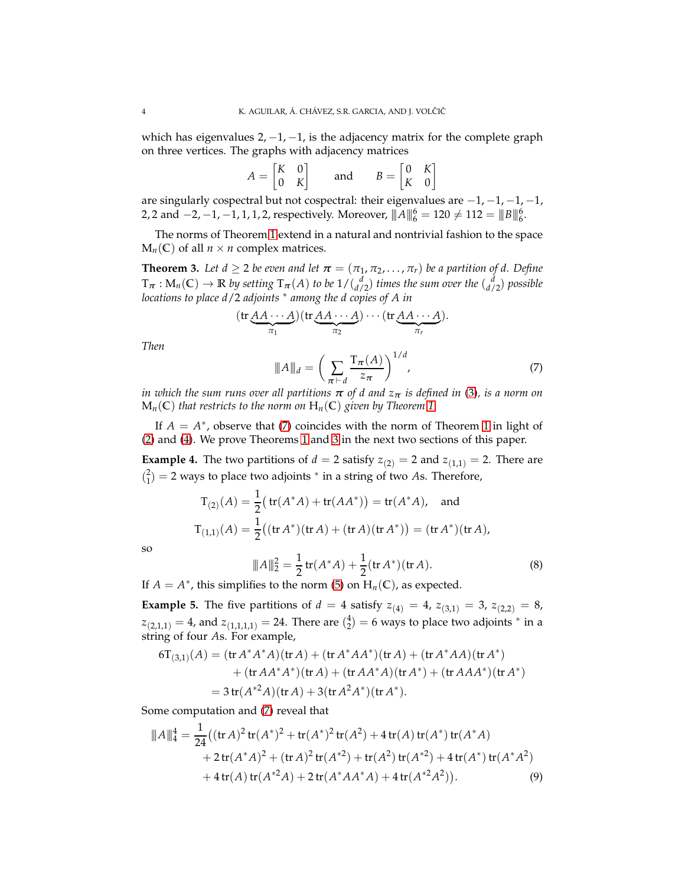which has eigenvalues  $2, -1, -1$ , is the adjacency matrix for the complete graph on three vertices. The graphs with adjacency matrices

| $A = \begin{bmatrix} K & 0 \\ 0 & K \end{bmatrix}$ |  | and | $B = \begin{bmatrix} 0 & K \\ K & 0 \end{bmatrix}$ |  |
|----------------------------------------------------|--|-----|----------------------------------------------------|--|
|                                                    |  |     |                                                    |  |

are singularly cospectral but not cospectral: their eigenvalues are −1, −1, −1, −1, 2, 2 and  $-2$ ,  $-1$ ,  $-1$ ,  $1$ ,  $1$ ,  $2$ , respectively. Moreover,  $||A||_6^6 = 120 \neq 112 = ||B||_6^6$ .

The norms of Theorem [1](#page-2-0) extend in a natural and nontrivial fashion to the space  $M_n(\mathbb{C})$  of all  $n \times n$  complex matrices.

<span id="page-3-1"></span>**Theorem 3.** Let  $d \geq 2$  be even and let  $\boldsymbol{\pi} = (\pi_1, \pi_2, \dots, \pi_r)$  be a partition of d. Define  $T_{\bm{\pi}}: M_n(\mathbb{C}) \to \mathbb{R}$  by setting  $T_{\bm{\pi}}(A)$  to be  $1/\binom{d}{d/2}$  times the sum over the  $\binom{d}{d/2}$  possible *locations to place d*/2 *adjoints* <sup>∗</sup> *among the d copies of A in*

<span id="page-3-0"></span>
$$
(\operatorname{tr}\underbrace{AA\cdots A}_{\pi_1})(\operatorname{tr}\underbrace{AA\cdots A}_{\pi_2})\cdots(\operatorname{tr}\underbrace{AA\cdots A}_{\pi_r}).
$$
\n
$$
\|A\|_d = \left(\sum_{\pi \vdash d} \frac{\operatorname{Tr}(A)}{z_{\pi}}\right)^{1/d},\tag{7}
$$

*Then*

*in which the sum runs over all partitions π of d and z<sup>π</sup> is defined in* [\(3\)](#page-1-3)*, is a norm on*  $M_n(C)$  *that restricts to the norm on*  $H_n(C)$  *given by Theorem* [1.](#page-2-0)

If  $A = A^*$ , observe that [\(7\)](#page-3-0) coincides with the norm of Theorem [1](#page-2-0) in light of [\(2\)](#page-1-1) and [\(4\)](#page-1-2). We prove Theorems [1](#page-2-0) and [3](#page-3-1) in the next two sections of this paper.

**Example 4.** The two partitions of  $d = 2$  satisfy  $z_{(2)} = 2$  and  $z_{(1,1)} = 2$ . There are  $\binom{2}{1}$  = 2 ways to place two adjoints <sup>\*</sup> in a string of two *As*. Therefore,

$$
T_{(2)}(A) = \frac{1}{2} \left( \text{tr}(A^*A) + \text{tr}(AA^*) \right) = \text{tr}(A^*A), \text{ and}
$$
  

$$
T_{(1,1)}(A) = \frac{1}{2} \left( (\text{tr}A^*) (\text{tr}A) + (\text{tr}A)(\text{tr}A^*) \right) = (\text{tr}A^*)(\text{tr}A),
$$

so

<span id="page-3-3"></span><span id="page-3-2"></span>
$$
||A||_2^2 = \frac{1}{2} \operatorname{tr}(A^* A) + \frac{1}{2} (\operatorname{tr} A^*)(\operatorname{tr} A). \tag{8}
$$

If  $A = A^*$ , this simplifies to the norm [\(5\)](#page-2-2) on  $H_n(\mathbb{C})$ , as expected.

**Example 5.** The five partitions of  $d = 4$  satisfy  $z_{(4)} = 4$ ,  $z_{(3,1)} = 3$ ,  $z_{(2,2)} = 8$ ,  $z_{(2,1,1)} = 4$ , and  $z_{(1,1,1,1)} = 24$ . There are  $\binom{4}{2} = 6$  ways to place two adjoints  $^*$  in a string of four *A*s. For example,

$$
6T_{(3,1)}(A) = (\text{tr } A^* A^* A)(\text{tr } A) + (\text{tr } A^* A A^*)(\text{tr } A) + (\text{tr } A^* A A)(\text{tr } A^*)
$$
  
+ (\text{tr } A A^\* A^\*)(\text{tr } A) + (\text{tr } A A^\* A)(\text{tr } A^\*) + (\text{tr } A A A^\*)(\text{tr } A^\*)  
= 3 tr $(A^{*2} A)(\text{tr } A) + 3(\text{tr } A^2 A^*)(\text{tr } A^*).$ 

Some computation and [\(7\)](#page-3-0) reveal that

$$
\|A\|_{4}^{4} = \frac{1}{24} \left( (\operatorname{tr} A)^{2} \operatorname{tr} (A^{*})^{2} + \operatorname{tr} (A^{*})^{2} \operatorname{tr} (A^{2}) + 4 \operatorname{tr} (A) \operatorname{tr} (A^{*}) \operatorname{tr} (A^{*} A) \right.+ 2 \operatorname{tr} (A^{*} A)^{2} + (\operatorname{tr} A)^{2} \operatorname{tr} (A^{*2}) + \operatorname{tr} (A^{2}) \operatorname{tr} (A^{*2}) + 4 \operatorname{tr} (A^{*}) \operatorname{tr} (A^{*} A^{2}) + 4 \operatorname{tr} (A) \operatorname{tr} (A^{*2} A) + 2 \operatorname{tr} (A^{*} A A^{*} A) + 4 \operatorname{tr} (A^{*2} A^{2}). \tag{9}
$$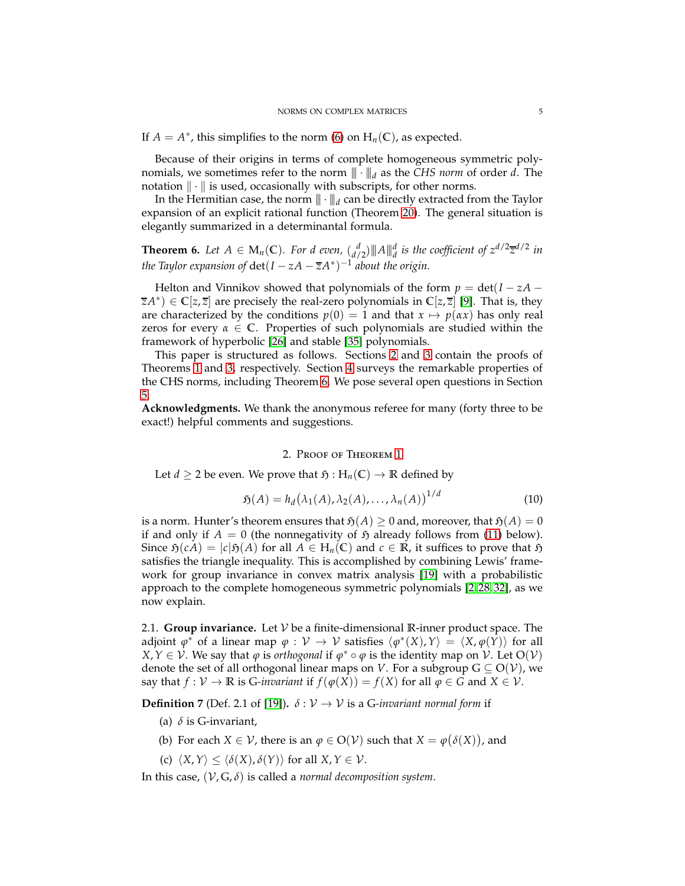If  $A = A^*$ , this simplifies to the norm [\(6\)](#page-2-1) on  $H_n(\mathbb{C})$ , as expected.

Because of their origins in terms of complete homogeneous symmetric polynomials, we sometimes refer to the norm  $\|\cdot\|_d$  as the *CHS norm* of order *d*. The notation  $\|\cdot\|$  is used, occasionally with subscripts, for other norms.

In the Hermitian case, the norm  $\|\cdot\|_d$  can be directly extracted from the Taylor expansion of an explicit rational function (Theorem [20\)](#page-10-0). The general situation is elegantly summarized in a determinantal formula.

<span id="page-4-1"></span>**Theorem 6.** Let  $A \in M_n(\mathbb{C})$ . For d even,  $\begin{bmatrix} d \\ d/2 \end{bmatrix}$   $\|A\|_d^d$  is the coefficient of  $z^{d/2}\overline{z}^{d/2}$  in *the Taylor expansion of*  $\det(I - zA - \overline{z}A^*)^{-1}$  *about the origin.* 

Helton and Vinnikov showed that polynomials of the form  $p = det(I - zA$ *zA*<sup>∗</sup> ) ∈ **C**[*z*, *z*] are precisely the real-zero polynomials in **C**[*z*, *z*] [\[9\]](#page-17-7). That is, they are characterized by the conditions  $p(0) = 1$  and that  $x \mapsto p(\alpha x)$  has only real zeros for every  $\alpha \in \mathbb{C}$ . Properties of such polynomials are studied within the framework of hyperbolic [\[26\]](#page-18-6) and stable [\[35\]](#page-18-7) polynomials.

This paper is structured as follows. Sections [2](#page-4-0) and [3](#page-7-1) contain the proofs of Theorems [1](#page-2-0) and [3,](#page-3-1) respectively. Section [4](#page-9-0) surveys the remarkable properties of the CHS norms, including Theorem [6.](#page-4-1) We pose several open questions in Section [5.](#page-16-0)

<span id="page-4-0"></span>**Acknowledgments.** We thank the anonymous referee for many (forty three to be exact!) helpful comments and suggestions.

#### <span id="page-4-2"></span>2. Proof of Theorem [1](#page-2-0)

Let *d*  $\geq$  2 be even. We prove that  $\mathfrak{H}: H_n(\mathbb{C}) \to \mathbb{R}$  defined by

$$
\mathfrak{H}(A) = h_d(\lambda_1(A), \lambda_2(A), \dots, \lambda_n(A))^{1/d} \tag{10}
$$

is a norm. Hunter's theorem ensures that  $\mathfrak{H}(A) \geq 0$  and, moreover, that  $\mathfrak{H}(A) = 0$ if and only if  $A = 0$  (the nonnegativity of  $\tilde{D}$  already follows from [\(11\)](#page-6-1) below). Since  $\mathfrak{H}(cA) = |c|\mathfrak{H}(A)$  for all  $A \in H_n(\mathbb{C})$  and  $c \in \mathbb{R}$ , it suffices to prove that  $\mathfrak{H}$ satisfies the triangle inequality. This is accomplished by combining Lewis' framework for group invariance in convex matrix analysis [\[19\]](#page-18-5) with a probabilistic approach to the complete homogeneous symmetric polynomials [\[2,](#page-17-1) [28,](#page-18-1) [32\]](#page-18-2), as we now explain.

2.1. **Group invariance.** Let  $V$  be a finite-dimensional  $\mathbb{R}$ -inner product space. The adjoint  $\varphi^*$  of a linear map  $\varphi: \mathcal{V} \to \mathcal{V}$  satisfies  $\langle \varphi^*(X), Y \rangle = \langle X, \varphi(Y) \rangle$  for all *X*,  $Y \in V$ . We say that  $\varphi$  is *orthogonal* if  $\varphi^* \circ \varphi$  is the identity map on  $V$ . Let  $O(V)$ denote the set of all orthogonal linear maps on *V*. For a subgroup  $G \subseteq O(V)$ , we say that  $f: V \to \mathbb{R}$  is *G-invariant* if  $f(\varphi(X)) = f(X)$  for all  $\varphi \in G$  and  $X \in V$ .

**Definition 7** (Def. 2.1 of [\[19\]](#page-18-5)).  $\delta : V \to V$  is a G-invariant normal form if

- (a) *δ* is G-invariant,
- (b) For each  $X \in \mathcal{V}$ , there is an  $\varphi \in O(\mathcal{V})$  such that  $X = \varphi(\delta(X))$ , and
- (c)  $\langle X, Y \rangle \leq \langle \delta(X), \delta(Y) \rangle$  for all  $X, Y \in \mathcal{V}$ .

In this case,  $(V, G, \delta)$  is called a *normal decomposition system*.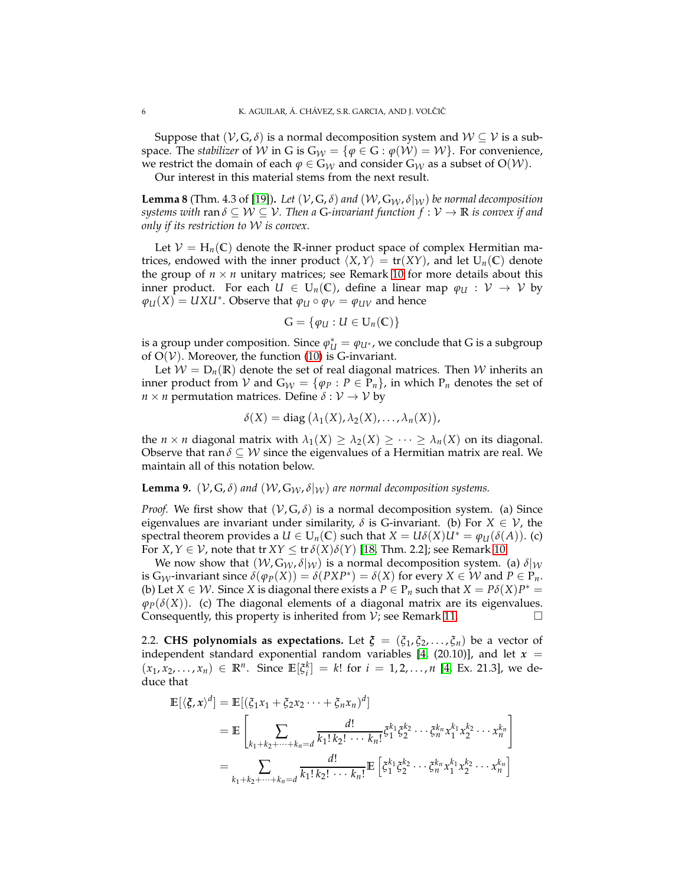Suppose that  $(\mathcal{V}, G, \delta)$  is a normal decomposition system and  $\mathcal{W} \subseteq \mathcal{V}$  is a subspace. The *stabilizer* of W in G is  $G_W = \{\varphi \in G : \varphi(W) = W\}$ . For convenience, we restrict the domain of each  $\varphi \in G_W$  and consider  $G_W$  as a subset of  $O(W)$ .

Our interest in this material stems from the next result.

<span id="page-5-0"></span>**Lemma 8** (Thm. 4.3 of [\[19\]](#page-18-5)). Let  $(V, G, \delta)$  and  $(W, G_W, \delta|_W)$  be normal decomposition *systems with ran*  $\delta \subseteq W \subseteq V$ . Then a G-invariant function  $f : V \to \mathbb{R}$  is convex if and *only if its restriction to* W *is convex.*

Let  $V = H_n(\mathbb{C})$  denote the R-inner product space of complex Hermitian matrices, endowed with the inner product  $\langle X, Y \rangle = \text{tr}(XY)$ , and let  $U_n(\mathbb{C})$  denote the group of  $n \times n$  unitary matrices; see Remark [10](#page-6-2) for more details about this inner product. For each  $U \in U_n(\mathbb{C})$ , define a linear map  $\varphi_U : V \to V$  by  $\varphi_U(X) = UXU^*$ . Observe that  $\varphi_U \circ \varphi_V = \varphi_{UV}$  and hence

$$
G = \{ \varphi_U : U \in U_n(\mathbb{C}) \}
$$

is a group under composition. Since  $\varphi^*_{U} = \varphi_{U^*}$ , we conclude that G is a subgroup of  $O(V)$ . Moreover, the function [\(10\)](#page-4-2) is G-invariant.

Let  $W = D_n(\mathbb{R})$  denote the set of real diagonal matrices. Then W inherits an inner product from  $V$  and  $G_W = \{\varphi_P : P \in P_n\}$ , in which  $P_n$  denotes the set of *n* × *n* permutation matrices. Define  $\delta : V \to V$  by

$$
\delta(X) = \text{diag}(\lambda_1(X), \lambda_2(X), \ldots, \lambda_n(X)),
$$

the *n* × *n* diagonal matrix with  $\lambda_1(X) \geq \lambda_2(X) \geq \cdots \geq \lambda_n(X)$  on its diagonal. Observe that ran  $\delta \subseteq \mathcal{W}$  since the eigenvalues of a Hermitian matrix are real. We maintain all of this notation below.

## **Lemma 9.** ( $V$ ,  $G$ ,  $\delta$ ) and ( $W$ ,  $G_W$ ,  $\delta|_W$ ) are normal decomposition systems.

*Proof.* We first show that  $(V, G, \delta)$  is a normal decomposition system. (a) Since eigenvalues are invariant under similarity,  $\delta$  is G-invariant. (b) For  $X \in \mathcal{V}$ , the spectral theorem provides a  $U \in U_n(\mathbb{C})$  such that  $X = U\delta(X)U^* = \varphi_U(\delta(A))$ . (c) For *X*,  $Y \in V$ , note that tr  $XY \leq \text{tr } \delta(X)\delta(Y)$  [\[18,](#page-18-8) Thm. 2.2]; see Remark [10.](#page-6-2)

We now show that  $(W, G_W, \delta|_W)$  is a normal decomposition system. (a)  $\delta|_W$ is  $G_W$ -invariant since  $\delta(\varphi_P(X)) = \delta(PXP^*) = \delta(X)$  for every  $X \in \mathcal{W}$  and  $P \in P_n$ . (b) Let *X*  $\in$  *W*. Since *X* is diagonal there exists a *P*  $\in$  *P<sub>n</sub>* such that *X* = *Pδ*(*X*)*P*<sup>\*</sup> =  $\varphi_P(\delta(X))$ . (c) The diagonal elements of a diagonal matrix are its eigenvalues. Consequently, this property is inherited from  $V$ ; see Remark [11.](#page-6-3)

2.2. **CHS polynomials as expectations.** Let  $\boldsymbol{\xi} = (\xi_1, \xi_2, \dots, \xi_n)$  be a vector of independent standard exponential random variables [\[4,](#page-17-8)  $(20.10)$ ], and let  $x =$  $(x_1, x_2, \ldots, x_n) \in \mathbb{R}^n$ . Since  $\mathbb{E}[\xi_i^k] = k!$  for  $i = 1, 2, \ldots, n$  [\[4,](#page-17-8) Ex. 21.3], we deduce that

$$
\mathbb{E}[\langle \xi, x \rangle^{d}] = \mathbb{E}[(\xi_{1}x_{1} + \xi_{2}x_{2} \cdots + \xi_{n}x_{n})^{d}]
$$
\n
$$
= \mathbb{E}\left[\sum_{k_{1}+k_{2}+\cdots+k_{n}=d} \frac{d!}{k_{1}!k_{2}! \cdots k_{n}!} \xi_{1}^{k_{1}} \xi_{2}^{k_{2}} \cdots \xi_{n}^{k_{n}} x_{1}^{k_{1}} x_{2}^{k_{2}} \cdots x_{n}^{k_{n}}\right]
$$
\n
$$
= \sum_{k_{1}+k_{2}+\cdots+k_{n}=d} \frac{d!}{k_{1}!k_{2}! \cdots k_{n}!} \mathbb{E}\left[\xi_{1}^{k_{1}} \xi_{2}^{k_{2}} \cdots \xi_{n}^{k_{n}} x_{1}^{k_{1}} x_{2}^{k_{2}} \cdots x_{n}^{k_{n}}\right]
$$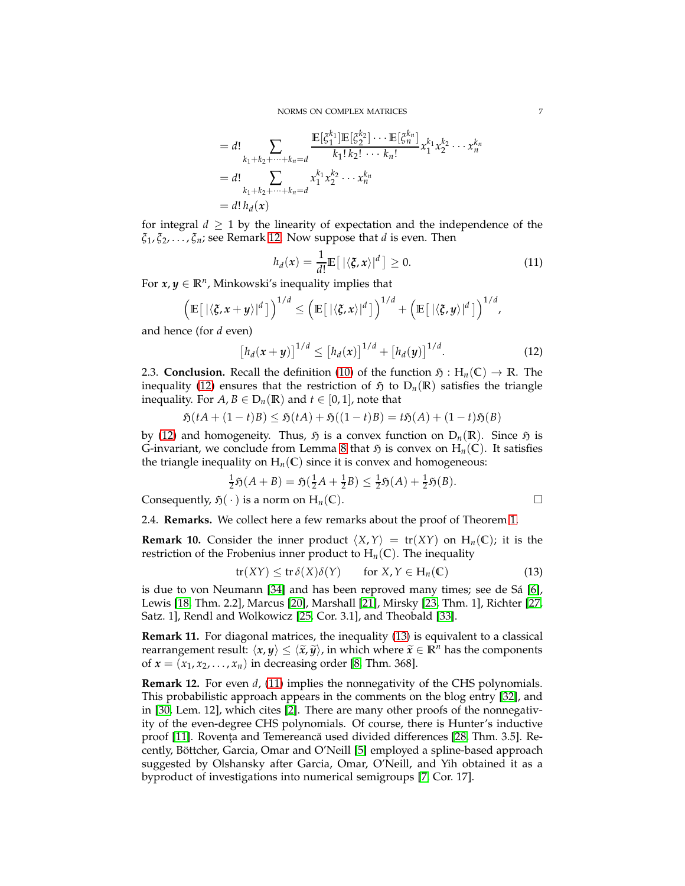$$
= d! \sum_{k_1+k_2+\cdots+k_n=d} \frac{\mathbb{E}[\xi_1^{k_1}]\mathbb{E}[\xi_2^{k_2}] \cdots \mathbb{E}[\xi_n^{k_n}]}{k_1! k_2! \cdots k_n!} x_1^{k_1} x_2^{k_2} \cdots x_n^{k_n}
$$
  
=  $d! \sum_{k_1+k_2+\cdots+k_n=d} x_1^{k_1} x_2^{k_2} \cdots x_n^{k_n}$   
=  $d! h_d(x)$ 

for integral  $d \geq 1$  by the linearity of expectation and the independence of the *ξ*1 , *ξ*2, . . . , *ξn*; see Remark [12.](#page-6-4) Now suppose that *d* is even. Then

$$
h_d(x) = \frac{1}{d!} \mathbb{E}\left[\left|\langle \xi, x \rangle\right|^{d}\right] \geq 0. \tag{11}
$$

For  $x, y \in \mathbb{R}^n$ , Minkowski's inequality implies that

$$
\left(\mathbb{E}\big[\left|\langle \boldsymbol{\zeta}, \boldsymbol{x} + \boldsymbol{y} \rangle\right|^{d}\big]\right)^{1/d} \leq \left(\mathbb{E}\big[\left|\langle \boldsymbol{\zeta}, \boldsymbol{x} \rangle\right|^{d}\big]\right)^{1/d} + \left(\mathbb{E}\big[\left|\langle \boldsymbol{\zeta}, \boldsymbol{y} \rangle\right|^{d}\big]\right)^{1/d},
$$

and hence (for *d* even)

$$
[h_d(x+y)]^{1/d} \le [h_d(x)]^{1/d} + [h_d(y)]^{1/d}.
$$
 (12)

2.3. **Conclusion.** Recall the definition [\(10\)](#page-4-2) of the function  $\mathfrak{H}: H_n(\mathbb{C}) \to \mathbb{R}$ . The inequality [\(12\)](#page-6-0) ensures that the restriction of  $\mathfrak{H}$  to  $D_n(\mathbb{R})$  satisfies the triangle inequality. For  $A, B \in D_n(\mathbb{R})$  and  $t \in [0, 1]$ , note that

$$
\mathfrak{H}(tA + (1-t)B) \le \mathfrak{H}(tA) + \mathfrak{H}((1-t)B) = t\mathfrak{H}(A) + (1-t)\mathfrak{H}(B)
$$

by [\(12\)](#page-6-0) and homogeneity. Thus,  $\tilde{y}$  is a convex function on  $D_n(\mathbb{R})$ . Since  $\tilde{y}$  is G-invariant, we conclude from Lemma [8](#page-5-0) that  $\mathfrak{H}$  is convex on  $H_n(\mathbb{C})$ . It satisfies the triangle inequality on  $H_n(\mathbb{C})$  since it is convex and homogeneous:

$$
\frac{1}{2}\mathfrak{H}(A+B) = \mathfrak{H}(\frac{1}{2}A + \frac{1}{2}B) \leq \frac{1}{2}\mathfrak{H}(A) + \frac{1}{2}\mathfrak{H}(B).
$$

Consequently,  $\mathfrak{H}(\cdot)$  is a norm on  $H_n(\mathbb{C})$ .

<span id="page-6-5"></span><span id="page-6-1"></span><span id="page-6-0"></span>

2.4. **Remarks.** We collect here a few remarks about the proof of Theorem [1.](#page-2-0)

<span id="page-6-2"></span>**Remark 10.** Consider the inner product  $\langle X, Y \rangle = \text{tr}(XY)$  on  $H_n(\mathbb{C})$ ; it is the restriction of the Frobenius inner product to  $H_n(\mathbb{C})$ . The inequality

$$
tr(XY) \le tr \delta(X)\delta(Y) \qquad \text{for } X, Y \in H_n(\mathbb{C}) \tag{13}
$$

is due to von Neumann [\[34\]](#page-18-9) and has been reproved many times; see de Sá [\[6\]](#page-17-9), Lewis [\[18,](#page-18-8) Thm. 2.2], Marcus [\[20\]](#page-18-10), Marshall [\[21\]](#page-18-11), Mirsky [\[23,](#page-18-12) Thm. 1], Richter [\[27,](#page-18-13) Satz. 1], Rendl and Wolkowicz [\[25,](#page-18-14) Cor. 3.1], and Theobald [\[33\]](#page-18-15).

<span id="page-6-3"></span>**Remark 11.** For diagonal matrices, the inequality [\(13\)](#page-6-5) is equivalent to a classical rearrangement result:  $\langle x, y \rangle \leq \langle \tilde{x}, \tilde{y} \rangle$ , in which where  $\tilde{x} \in \mathbb{R}^n$  has the components of  $x = (x_1, x_2, ..., x_n)$  in decreasing order [\[8,](#page-17-10) Thm. 368].

<span id="page-6-4"></span>**Remark 12.** For even *d*, [\(11\)](#page-6-1) implies the nonnegativity of the CHS polynomials. This probabilistic approach appears in the comments on the blog entry [\[32\]](#page-18-2), and in [\[30,](#page-18-16) Lem. 12], which cites [\[2\]](#page-17-1). There are many other proofs of the nonnegativity of the even-degree CHS polynomials. Of course, there is Hunter's inductive proof [\[11\]](#page-17-0). Rovența and Temereancă used divided differences [\[28,](#page-18-1) Thm. 3.5]. Recently, Böttcher, Garcia, Omar and O'Neill [\[5\]](#page-17-3) employed a spline-based approach suggested by Olshansky after Garcia, Omar, O'Neill, and Yih obtained it as a byproduct of investigations into numerical semigroups [\[7,](#page-17-4) Cor. 17].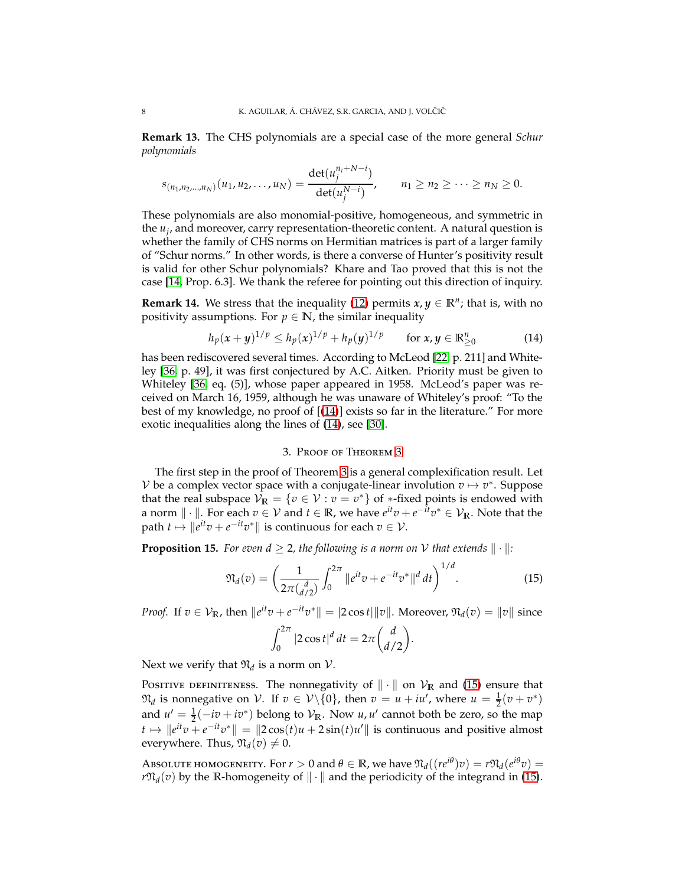**Remark 13.** The CHS polynomials are a special case of the more general *Schur polynomials*

$$
s_{(n_1,n_2,...,n_N)}(u_1,u_2,...,u_N)=\frac{\det(u_j^{n_1+N-i})}{\det(u_j^{N-i})}, \qquad n_1 \geq n_2 \geq \cdots \geq n_N \geq 0.
$$

These polynomials are also monomial-positive, homogeneous, and symmetric in the *u<sup>j</sup>* , and moreover, carry representation-theoretic content. A natural question is whether the family of CHS norms on Hermitian matrices is part of a larger family of "Schur norms." In other words, is there a converse of Hunter's positivity result is valid for other Schur polynomials? Khare and Tao proved that this is not the case [\[14,](#page-18-17) Prop. 6.3]. We thank the referee for pointing out this direction of inquiry.

<span id="page-7-0"></span>**Remark 14.** We stress that the inequality [\(12\)](#page-6-0) permits  $x, y \in \mathbb{R}^n$ ; that is, with no positivity assumptions. For  $p \in \mathbb{N}$ , the similar inequality

$$
h_p(x+y)^{1/p} \le h_p(x)^{1/p} + h_p(y)^{1/p} \qquad \text{for } x, y \in \mathbb{R}_{\ge 0}^n \tag{14}
$$

has been rediscovered several times. According to McLeod [\[22,](#page-18-18) p. 211] and Whiteley [\[36,](#page-18-19) p. 49], it was first conjectured by A.C. Aitken. Priority must be given to Whiteley [\[36,](#page-18-19) eq. (5)], whose paper appeared in 1958. McLeod's paper was received on March 16, 1959, although he was unaware of Whiteley's proof: "To the best of my knowledge, no proof of [[\(14\)](#page-7-2)] exists so far in the literature." For more exotic inequalities along the lines of [\(14\)](#page-7-2), see [\[30\]](#page-18-16).

### <span id="page-7-2"></span>3. Proof of Theorem [3](#page-3-1)

<span id="page-7-1"></span>The first step in the proof of Theorem [3](#page-3-1) is a general complexification result. Let V be a complex vector space with a conjugate-linear involution  $v \mapsto v^*$ . Suppose that the real subspace  $\mathcal{V}_\mathbb{R} = \{v \in \mathcal{V} : v = v^*\}$  of  $\ast$ -fixed points is endowed with a norm  $\|\cdot\|$ . For each  $v \in \mathcal{V}$  and  $t \in \mathbb{R}$ , we have  $e^{it}v + e^{-it}v^* \in \mathcal{V}_{\mathbb{R}}$ . Note that the path  $t \mapsto \|e^{it}v + e^{-it}v^*\|$  is continuous for each  $v \in \mathcal{V}$ .

<span id="page-7-4"></span>**Proposition 15.** For even  $d \geq 2$ , the following is a norm on V that extends  $\|\cdot\|$ :

$$
\mathfrak{N}_d(v) = \left(\frac{1}{2\pi \binom{d}{d/2}} \int_0^{2\pi} \|e^{it}v + e^{-it}v^*\|^{d} dt\right)^{1/d}.
$$
 (15)

*Proof.* If  $v \in V_{\mathbb{R}}$ , then  $||e^{it}v + e^{-it}v^*|| = |2 \cos t| ||v||$ . Moreover,  $\mathfrak{N}_d(v) = ||v||$  since

<span id="page-7-3"></span>
$$
\int_0^{2\pi} |2\cos t|^d dt = 2\pi \binom{d}{d/2}.
$$

Next we verify that  $\mathfrak{N}_d$  is a norm on  $\mathcal{V}$ .

POSITIVE DEFINITENESS. The nonnegativity of  $\|\cdot\|$  on  $\mathcal{V}_\mathbb{R}$  and [\(15\)](#page-7-3) ensure that  $\mathfrak{N}_d$  is nonnegative on  $\mathcal{V}$ . If  $v \in \mathcal{V} \setminus \{0\}$ , then  $v = u + iu'$ , where  $u = \frac{1}{2}(v + v^*)$ and  $u' = \frac{1}{2}(-iv + iv^*)$  belong to  $\mathcal{V}_{\mathbb{R}}$ . Now *u*, *u*' cannot both be zero, so the map *t*  $\mapsto$   $||e^{it}v + e^{-it}v^*|| = ||2\cos(t)u + 2\sin(t)u'||$  is continuous and positive almost everywhere. Thus,  $\mathfrak{N}_d(v) \neq 0$ .

Absolute homogeneity. For  $r > 0$  and  $\theta \in \mathbb{R}$ , we have  $\mathfrak{N}_d((re^{i\theta})v) = r\mathfrak{N}_d(e^{i\theta}v)$ *r* $\mathfrak{N}_d(v)$  by the **R**-homogeneity of  $\|\cdot\|$  and the periodicity of the integrand in [\(15\)](#page-7-3).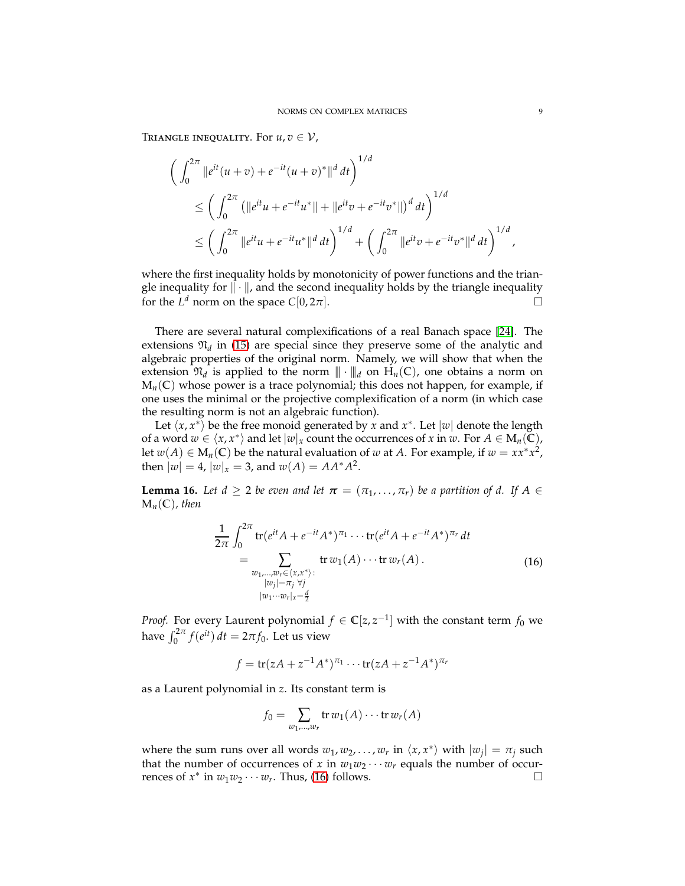TRIANGLE INEQUALITY. For  $u, v \in V$ ,

$$
\begin{aligned}\n&\left(\int_0^{2\pi} \|e^{it}(u+v) + e^{-it}(u+v)^*\|^d dt\right)^{1/d} \\
&\leq \left(\int_0^{2\pi} \left(\|e^{it}u + e^{-it}u^*\| + \|e^{it}v + e^{-it}v^*\|\right)^d dt\right)^{1/d} \\
&\leq \left(\int_0^{2\pi} \|e^{it}u + e^{-it}u^*\|^d dt\right)^{1/d} + \left(\int_0^{2\pi} \|e^{it}v + e^{-it}v^*\|^d dt\right)^{1/d}\n\end{aligned}
$$

where the first inequality holds by monotonicity of power functions and the triangle inequality for  $\|\cdot\|$ , and the second inequality holds by the triangle inequality for the  $L^d$  norm on the space  $C[0, 2\pi]$ .

There are several natural complexifications of a real Banach space [\[24\]](#page-18-20). The extensions  $\mathfrak{N}_d$  in [\(15\)](#page-7-3) are special since they preserve some of the analytic and algebraic properties of the original norm. Namely, we will show that when the extension  $\mathfrak{N}_d$  is applied to the norm  $\|\cdot\|_d$  on  $H_n(\mathbb{C})$ , one obtains a norm on  $M_n(\mathbb{C})$  whose power is a trace polynomial; this does not happen, for example, if one uses the minimal or the projective complexification of a norm (in which case the resulting norm is not an algebraic function).

Let  $\langle x, x^* \rangle$  be the free monoid generated by *x* and  $x^*$ . Let  $|w|$  denote the length of a word  $w \in \langle x, x^* \rangle$  and let  $|w|_x$  count the occurrences of  $x$  in  $w$ . For  $A \in M_n(\widetilde{\mathbb{C}})$ , let  $w(A) \in M_n(\mathbb{C})$  be the natural evaluation of  $w$  at  $A$ . For example, if  $w = xx^*x^2$ , then  $|w| = 4$ ,  $|w|_x = 3$ , and  $w(A) = AA^*A^2$ .

<span id="page-8-1"></span>**Lemma 16.** Let  $d \geq 2$  be even and let  $\boldsymbol{\pi} = (\pi_1, \ldots, \pi_r)$  be a partition of d. If  $A \in$  $M_n(\mathbb{C})$ , then

$$
\frac{1}{2\pi} \int_0^{2\pi} \text{tr}(e^{it}A + e^{-it}A^*)^{\pi_1} \cdots \text{tr}(e^{it}A + e^{-it}A^*)^{\pi_r} dt
$$
\n
$$
= \sum_{\substack{w_1, \dots, w_r \in \langle x, x^* \rangle : \\ |w_j| = \pi_j \ \forall j \\ |w_1 \cdots w_r|_x = \frac{d}{2}}} \text{tr } w_1(A) \cdots \text{tr } w_r(A). \tag{16}
$$

*Proof.* For every Laurent polynomial  $f \in \mathbb{C}[z, z^{-1}]$  with the constant term  $f_0$  we have  $\int_0^{2\pi} f(e^{it}) dt = 2\pi f_0$ . Let us view

$$
f = \text{tr}(zA + z^{-1}A^*)^{\pi_1} \cdots \text{tr}(zA + z^{-1}A^*)^{\pi_r}
$$

as a Laurent polynomial in *z*. Its constant term is

<span id="page-8-0"></span>
$$
f_0 = \sum_{w_1,\dots,w_r} \operatorname{tr} w_1(A) \cdots \operatorname{tr} w_r(A)
$$

where the sum runs over all words  $w_1, w_2, \ldots, w_r$  in  $\langle x, x^* \rangle$  with  $|w_j| = \pi_j$  such that the number of occurrences of *x* in  $w_1w_2 \cdots w_r$  equals the number of occurrences of  $x^*$  in  $w_1w_2 \cdots w_r$ . Thus, [\(16\)](#page-8-0) follows.

,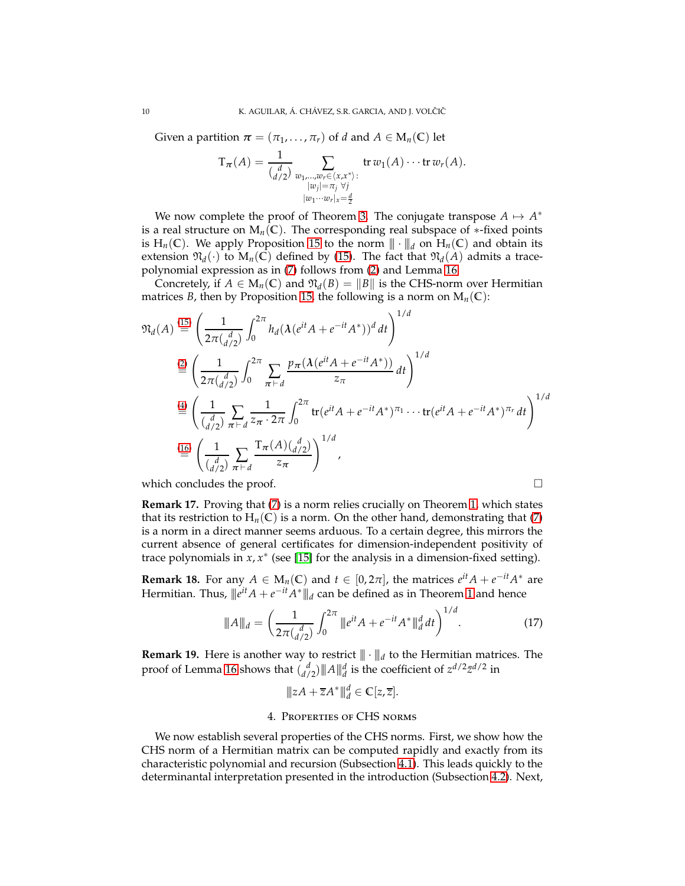Given a partition  $\boldsymbol{\pi} = (\pi_1, \dots, \pi_r)$  of *d* and  $A \in M_n(\mathbb{C})$  let

$$
T_{\pi}(A) = \frac{1}{\binom{d}{d/2}} \sum_{\substack{w_1,\ldots,w_r \in \langle x,x^* \rangle : \\ |w_j| = \pi_j \ \forall j \\ |w_1 \cdots w_r|_x = \frac{d}{2}}} \operatorname{tr} w_1(A) \cdots \operatorname{tr} w_r(A).
$$

We now complete the proof of Theorem [3.](#page-3-1) The conjugate transpose  $A \mapsto A^*$ is a real structure on  $M_n(\mathbb{C})$ . The corresponding real subspace of  $*$ -fixed points is H<sub>n</sub>(C). We apply Proposition [15](#page-7-4) to the norm  $\|\cdot\|_d$  on H<sub>n</sub>(C) and obtain its extension  $\mathfrak{N}_d(\cdot)$  to  $M_n(\mathbb{C})$  defined by [\(15\)](#page-7-3). The fact that  $\mathfrak{N}_d(A)$  admits a tracepolynomial expression as in [\(7\)](#page-3-0) follows from [\(2\)](#page-1-1) and Lemma [16.](#page-8-1)

Concretely, if  $A \in M_n(\mathbb{C})$  and  $\mathfrak{N}_d(B) = ||B||$  is the CHS-norm over Hermitian matrices *B*, then by Proposition [15,](#page-7-4) the following is a norm on  $M_n(\mathbb{C})$ :

$$
\mathfrak{N}_d(A) \stackrel{(15)}{=} \left(\frac{1}{2\pi \binom{d}{d/2}} \int_0^{2\pi} h_d(\lambda (e^{it} A + e^{-it} A^*))^d dt\right)^{1/d}
$$
\n
$$
\stackrel{(2)}{=} \left(\frac{1}{2\pi \binom{d}{d/2}} \int_0^{2\pi} \sum_{\pi \vdash d} \frac{p_\pi (\lambda (e^{it} A + e^{-it} A^*))}{z_\pi} dt\right)^{1/d}
$$
\n
$$
\stackrel{(4)}{=} \left(\frac{1}{\binom{d}{d/2}} \sum_{\pi \vdash d} \frac{1}{z_\pi \cdot 2\pi} \int_0^{2\pi} \text{tr}(e^{it} A + e^{-it} A^*)^{\pi_1} \cdots \text{tr}(e^{it} A + e^{-it} A^*)^{\pi_r} dt\right)^{1/d}
$$
\n
$$
\stackrel{(16)}{=} \left(\frac{1}{\binom{d}{d/2}} \sum_{\pi \vdash d} \frac{\text{Tr}(A) \binom{d}{d/2}}{z_\pi}\right)^{1/d},
$$

which concludes the proof.  $\Box$ 

**Remark 17.** Proving that (7) is a norm relies crucially on Theorem 1, which states that its restriction to 
$$
H_n(C)
$$
 is a norm. On the other hand, demonstrating that (7) is a norm in a direct manner seems arduous. To a certain degree, this mirrors the current absence of general certificates for dimension-independent positivity of trace polynomials in  $x, x^*$  (see [15] for the analysis in a dimension-fixed setting).

**Remark 18.** For any  $A \in M_n(\mathbb{C})$  and  $t \in [0, 2\pi]$ , the matrices  $e^{it}A + e^{-it}A^*$  are Hermitian. Thus,  $\Vert e^{it} A + e^{-it} A^* \Vert \Vert_d$  can be defined as in Theorem [1](#page-2-0) and hence

$$
\|A\|_{d} = \left(\frac{1}{2\pi \binom{d}{d/2}} \int_0^{2\pi} \|e^{it} A + e^{-it} A^*\|_{d}^d dt\right)^{1/d}.
$$
 (17)

<span id="page-9-1"></span>**Remark 19.** Here is another way to restrict  $\|\cdot\|_d$  to the Hermitian matrices. The proof of Lemma [16](#page-8-1) shows that  $\binom{d}{d/2}$   $\|A\|_d^d$  is the coefficient of  $z^{d/2}\bar{z}^{d/2}$  in

<span id="page-9-2"></span>
$$
||zA + \overline{z}A^*||_d^d \in \mathbb{C}[z,\overline{z}].
$$

#### 4. Properties of CHS norms

<span id="page-9-0"></span>We now establish several properties of the CHS norms. First, we show how the CHS norm of a Hermitian matrix can be computed rapidly and exactly from its characteristic polynomial and recursion (Subsection [4.1\)](#page-10-1). This leads quickly to the determinantal interpretation presented in the introduction (Subsection [4.2\)](#page-11-0). Next,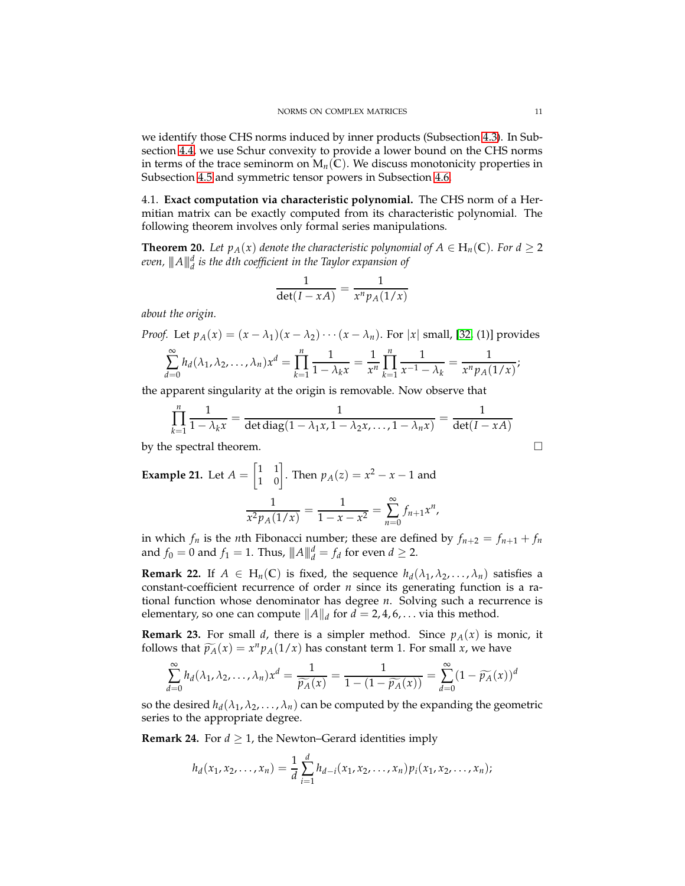we identify those CHS norms induced by inner products (Subsection [4.3\)](#page-12-0). In Subsection [4.4,](#page-12-1) we use Schur convexity to provide a lower bound on the CHS norms in terms of the trace seminorm on  $M_n(\mathbb{C})$ . We discuss monotonicity properties in Subsection [4.5](#page-13-0) and symmetric tensor powers in Subsection [4.6.](#page-14-0)

<span id="page-10-1"></span>4.1. **Exact computation via characteristic polynomial.** The CHS norm of a Hermitian matrix can be exactly computed from its characteristic polynomial. The following theorem involves only formal series manipulations.

<span id="page-10-0"></span>**Theorem 20.** *Let*  $p_A(x)$  *denote the characteristic polynomial of*  $A \in H_n(\mathbb{C})$ *. For*  $d \geq 2$ *even,* |||*A*|||*<sup>d</sup> d is the dth coefficient in the Taylor expansion of*

$$
\frac{1}{\det(I - xA)} = \frac{1}{x^n p_A(1/x)}
$$

*about the origin.*

*Proof.* Let  $p_A(x) = (x - \lambda_1)(x - \lambda_2) \cdots (x - \lambda_n)$ . For  $|x|$  small, [\[32,](#page-18-2) (1)] provides

$$
\sum_{d=0}^{\infty} h_d(\lambda_1, \lambda_2, \dots, \lambda_n) x^d = \prod_{k=1}^n \frac{1}{1 - \lambda_k x} = \frac{1}{x^n} \prod_{k=1}^n \frac{1}{x^{-1} - \lambda_k} = \frac{1}{x^n p_A(1/x)};
$$

the apparent singularity at the origin is removable. Now observe that

$$
\prod_{k=1}^{n} \frac{1}{1 - \lambda_k x} = \frac{1}{\det \text{diag}(1 - \lambda_1 x, 1 - \lambda_2 x, \dots, 1 - \lambda_n x)} = \frac{1}{\det(I - xA)}
$$
  
by the spectral theorem.

**Example 21.** Let 
$$
A = \begin{bmatrix} 1 & 1 \ 1 & 0 \end{bmatrix}
$$
. Then  $p_A(z) = x^2 - x - 1$  and 
$$
\frac{1}{x^2 p_A(1/x)} = \frac{1}{1 - x - x^2} = \sum_{n=0}^{\infty} f_{n+1} x^n,
$$

in which  $f_n$  is the *n*th Fibonacci number; these are defined by  $f_{n+2} = f_{n+1} + f_n$ and  $f_0 = 0$  and  $f_1 = 1$ . Thus,  $||A||_d^d = f_d$  for even  $d \geq 2$ .

**Remark 22.** If  $A \in H_n(\mathbb{C})$  is fixed, the sequence  $h_d(\lambda_1, \lambda_2, ..., \lambda_n)$  satisfies a constant-coefficient recurrence of order *n* since its generating function is a rational function whose denominator has degree *n*. Solving such a recurrence is elementary, so one can compute  $||A||_d$  for  $d = 2, 4, 6, \ldots$  via this method.

**Remark 23.** For small *d*, there is a simpler method. Since  $p_A(x)$  is monic, it follows that  $\widetilde{p_A}(x) = x^n p_A(1/x)$  has constant term 1. For small *x*, we have

$$
\sum_{d=0}^{\infty} h_d(\lambda_1, \lambda_2, \dots, \lambda_n) x^d = \frac{1}{\widetilde{p_A}(x)} = \frac{1}{1 - (1 - \widetilde{p_A}(x))} = \sum_{d=0}^{\infty} (1 - \widetilde{p_A}(x))^d
$$

so the desired  $h_d(\lambda_1, \lambda_2, \ldots, \lambda_n)$  can be computed by the expanding the geometric series to the appropriate degree.

**Remark 24.** For  $d \geq 1$ , the Newton–Gerard identities imply

$$
h_d(x_1, x_2, \ldots, x_n) = \frac{1}{d} \sum_{i=1}^d h_{d-i}(x_1, x_2, \ldots, x_n) p_i(x_1, x_2, \ldots, x_n);
$$

$$
\Box
$$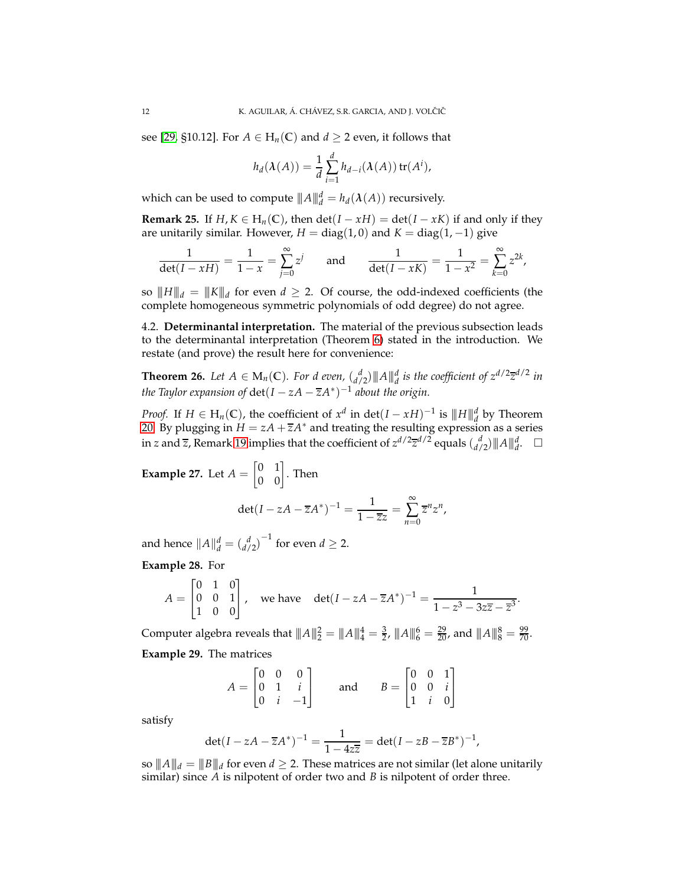see [\[29,](#page-18-22) §10.12]. For  $A \in H_n(\mathbb{C})$  and  $d \geq 2$  even, it follows that

$$
h_d(\lambda(A)) = \frac{1}{d} \sum_{i=1}^d h_{d-i}(\lambda(A)) \operatorname{tr}(A^i),
$$

which can be used to compute  $||A||_d^d = h_d(\lambda(A))$  recursively.

**Remark 25.** If  $H, K \in H_n(\mathbb{C})$ , then  $\det(I - xH) = \det(I - xK)$  if and only if they are unitarily similar. However,  $H = diag(1,0)$  and  $K = diag(1,-1)$  give

$$
\frac{1}{\det(I - xH)} = \frac{1}{1-x} = \sum_{j=0}^{\infty} z^j \quad \text{and} \quad \frac{1}{\det(I - xK)} = \frac{1}{1-x^2} = \sum_{k=0}^{\infty} z^{2k},
$$

so  $||H||_d = ||K||_d$  for even  $d \geq 2$ . Of course, the odd-indexed coefficients (the complete homogeneous symmetric polynomials of odd degree) do not agree.

<span id="page-11-0"></span>4.2. **Determinantal interpretation.** The material of the previous subsection leads to the determinantal interpretation (Theorem [6\)](#page-4-1) stated in the introduction. We restate (and prove) the result here for convenience:

**Theorem 26.** Let  $A \in M_n(\mathbb{C})$ . For d even,  $\binom{d}{d/2}$   $\|A\|_d^d$  is the coefficient of  $z^{d/2} \overline{z}^{d/2}$  in *the Taylor expansion of* det $(I - zA - \overline{z}A^*)^{-1}$  *about the origin.* 

*Proof.* If  $H \in H_n(\mathbb{C})$ , the coefficient of  $x^d$  in det $(I - xH)^{-1}$  is  $\|H\|_d^d$  by Theorem [20.](#page-10-0) By plugging in  $H = zA + \overline{z}A^*$  and treating the resulting expression as a series in *z* and  $\overline{z}$ , Remark [19](#page-9-1) implies that the coefficient of  $z^{d/2}\overline{z}^{d/2}$  equals  $\binom{d}{d/2}$  || $A$ || $_d^d$ .  $\Box$ 

**Example 27.** Let  $A =$  $\begin{bmatrix} 0 & 1 \\ 0 & 0 \end{bmatrix}$ . Then  $\det(I - zA - \overline{z}A^*)^{-1} = \frac{1}{1-z}$  $\frac{1}{1-\overline{z}z}$ 

and hence  $||A||_d^d = {d \choose d/2}^{-1}$  for even  $d \geq 2$ .

**Example 28.** For

$$
A = \begin{bmatrix} 0 & 1 & 0 \\ 0 & 0 & 1 \\ 1 & 0 & 0 \end{bmatrix}, \text{ we have } \det(I - zA - \overline{z}A^*)^{-1} = \frac{1}{1 - z^3 - 3z\overline{z} - \overline{z}^3}.
$$

∞ ∑ *n*=0

 $\overline{z}$ <sup>*n*</sup> $z$ <sup>*n*</sup>,

Computer algebra reveals that  $||A||_2^2 = ||A||_4^4 = \frac{3}{2}$ ,  $||A||_6^6 = \frac{29}{20}$ , and  $||A||_8^8 = \frac{99}{70}$ . **Example 29.** The matrices

$$
A = \begin{bmatrix} 0 & 0 & 0 \\ 0 & 1 & i \\ 0 & i & -1 \end{bmatrix} \quad \text{and} \quad B = \begin{bmatrix} 0 & 0 & 1 \\ 0 & 0 & i \\ 1 & i & 0 \end{bmatrix}
$$

satisfy

$$
\det(I - zA - \overline{z}A^*)^{-1} = \frac{1}{1 - 4z\overline{z}} = \det(I - zB - \overline{z}B^*)^{-1},
$$

so  $||\![A]\!]_d = ||\![B]\!]_d$  for even  $d\geq 2.$  These matrices are not similar (let alone unitarily similar) since *A* is nilpotent of order two and *B* is nilpotent of order three.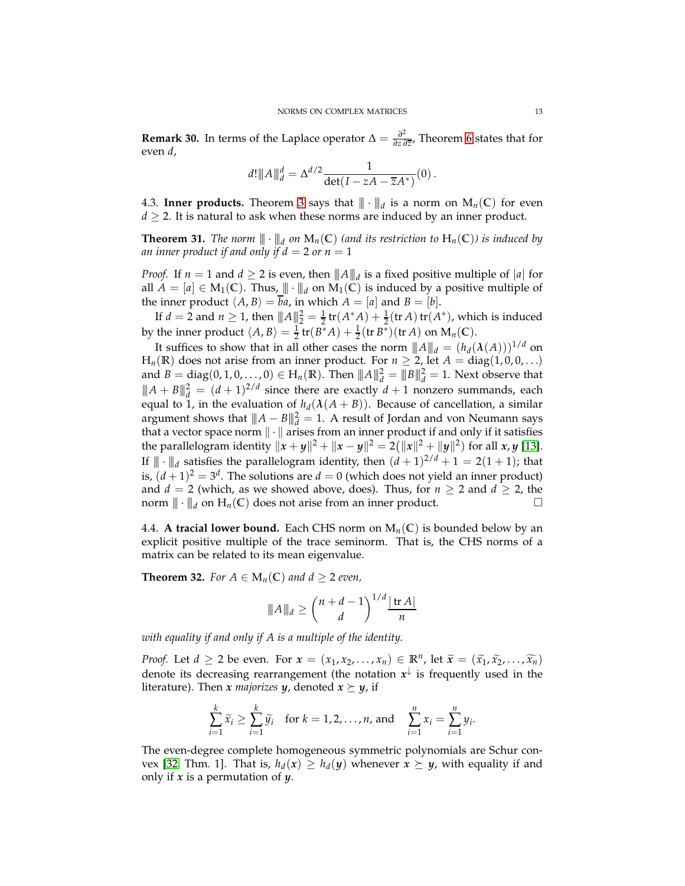**Remark 30.** In terms of the Laplace operator  $\Delta = \frac{\partial^2}{\partial z \partial \zeta}$ *∂z ∂z* , Theorem [6](#page-4-1) states that for even *d*,

$$
d! \|A\|_d^d = \Delta^{d/2} \frac{1}{\det(I - zA - \overline{z}A^*)}(0) .
$$

<span id="page-12-0"></span>4.3. **Inner products.** Theorem [3](#page-3-1) says that  $\|\cdot\|_d$  is a norm on  $M_n(\mathbb{C})$  for even  $d \geq 2$ . It is natural to ask when these norms are induced by an inner product.

**Theorem 31.** *The norm*  $\|\cdot\|_d$  *on*  $\mathbf{M}_n(\mathbb{C})$  *(and its restriction to*  $\mathbf{H}_n(\mathbb{C})$ *) is induced by an inner product if and only if*  $d = 2$  *or*  $n = 1$ 

*Proof.* If  $n = 1$  and  $d \geq 2$  is even, then  $|| ||A|| ||_d$  is a fixed positive multiple of  $|a|$  for all  $A = [a] \in M_1(\mathbb{C})$ . Thus,  $\|\cdot\|_d$  on  $M_1(\mathbb{C})$  is induced by a positive multiple of the inner product  $\langle A, B \rangle = \overline{b}a$ , in which  $A = [a]$  and  $B = [b]$ .

If  $d = 2$  and  $n \ge 1$ , then  $|| ||A||_2^2 = \frac{1}{2}$  tr $(A^*A) + \frac{1}{2}$  (tr *A*) tr $(A^*)$ , which is induced by the inner product  $\langle A, B \rangle = \frac{1}{2} \text{tr}(B^*A) + \frac{1}{2} (\text{tr }B^*)(\text{tr }A)$  on  $M_n(\mathbb{C})$ .

It suffices to show that in all other cases the norm  $||A||_d = (h_d(\lambda(A)))^{1/d}$  on  $H_n(\mathbb{R})$  does not arise from an inner product. For  $n \geq 2$ , let  $A = diag(1,0,0,\ldots)$ and  $B = \text{diag}(0, 1, 0, ..., 0) \in H_n(\mathbb{R})$ . Then  $||A||_d^2 = ||B||_d^2 = 1$ . Next observe that  $||A + B||_d^2 = (d+1)^{2/d}$  since there are exactly  $d+1$  nonzero summands, each equal to 1, in the evaluation of  $h_d(\lambda(A + B))$ . Because of cancellation, a similar argument shows that  $||A - B||_d^2 = 1$ . A result of Jordan and von Neumann says that a vector space norm  $\|\cdot\|$  arises from an inner product if and only if it satisfies the parallelogram identity  $\|x + y\|^2 + \|x - y\|^2 = 2(\|x\|^2 + \|y\|^2)$  for all  $x, y$  [\[13\]](#page-18-23). If  $\| \cdot \|_d$  satisfies the parallelogram identity, then  $(d+1)^{2/d}+1=2(1+1)$ ; that is,  $(d+1)^2 = 3^d$ . The solutions are  $d = 0$  (which does not yield an inner product) and  $d = 2$  (which, as we showed above, does). Thus, for  $n \ge 2$  and  $d \ge 2$ , the norm  $\|\cdot\|_d$  on  $H_n(\mathbb{C})$  does not arise from an inner product.

<span id="page-12-1"></span>4.4. **A tracial lower bound.** Each CHS norm on  $M_n(\mathbb{C})$  is bounded below by an explicit positive multiple of the trace seminorm. That is, the CHS norms of a matrix can be related to its mean eigenvalue.

<span id="page-12-2"></span>**Theorem 32.** *For*  $A \in M_n(\mathbb{C})$  *and*  $d \geq 2$  *even,* 

$$
||A||_d \ge \binom{n+d-1}{d}^{1/d} \frac{|\operatorname{tr} A|}{n}
$$

*with equality if and only if A is a multiple of the identity.*

*Proof.* Let  $d \ge 2$  be even. For  $x = (x_1, x_2, \ldots, x_n) \in \mathbb{R}^n$ , let  $\widetilde{x} = (\widetilde{x_1}, \widetilde{x_2}, \ldots, \widetilde{x_n})$ denote its decreasing rearrangement (the notation  $x^\downarrow$  is frequently used in the literature). Then *x majorizes y*, denoted  $x \succeq y$ , if

$$
\sum_{i=1}^k \widetilde{x}_i \ge \sum_{i=1}^k \widetilde{y}_i \quad \text{for } k = 1, 2, \dots, n, \text{ and } \quad \sum_{i=1}^n x_i = \sum_{i=1}^n y_i.
$$

The even-degree complete homogeneous symmetric polynomials are Schur con-vex [\[32,](#page-18-2) Thm. 1]. That is,  $h_d(x) \geq h_d(y)$  whenever  $x \succeq y$ , with equality if and only if *x* is a permutation of *y*.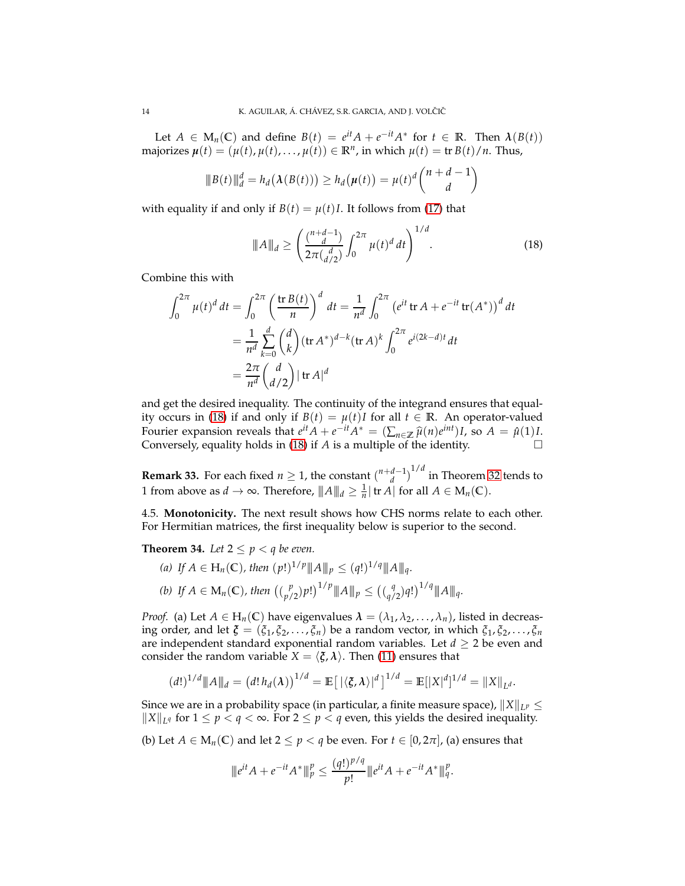Let  $A \in M_n(\mathbb{C})$  and define  $B(t) = e^{it}A + e^{-it}A^*$  for  $t \in \mathbb{R}$ . Then  $\lambda(B(t))$  $\text{majorizes } \mu(t) = (\mu(t), \mu(t), \ldots, \mu(t)) \in \mathbb{R}^n$ , in which  $\mu(t) = \text{tr } B(t)/n$ . Thus,

$$
\|B(t)\|_d^d = h_d(\lambda(B(t))) \ge h_d(\mu(t)) = \mu(t)^d \binom{n+d-1}{d}
$$

with equality if and only if  $B(t) = \mu(t)I$ . It follows from [\(17\)](#page-9-2) that

<span id="page-13-1"></span>
$$
\|A\|_{d} \ge \left(\frac{\binom{n+d-1}{d}}{2\pi \binom{d}{d/2}} \int_0^{2\pi} \mu(t)^d \, dt\right)^{1/d}.\tag{18}
$$

Combine this with

$$
\int_0^{2\pi} \mu(t)^d dt = \int_0^{2\pi} \left(\frac{\text{tr } B(t)}{n}\right)^d dt = \frac{1}{n^d} \int_0^{2\pi} \left(e^{it} \text{ tr } A + e^{-it} \text{ tr}(A^*)\right)^d dt
$$
  
= 
$$
\frac{1}{n^d} \sum_{k=0}^d \binom{d}{k} (\text{tr } A^*)^{d-k} (\text{tr } A)^k \int_0^{2\pi} e^{i(2k-d)t} dt
$$
  
= 
$$
\frac{2\pi}{n^d} \binom{d}{d/2} |\text{tr } A|^d
$$

and get the desired inequality. The continuity of the integrand ensures that equal-ity occurs in [\(18\)](#page-13-1) if and only if  $B(t) = \mu(t)I$  for all  $t \in \mathbb{R}$ . An operator-valued Fourier expansion reveals that  $e^{it}A + e^{-it}A^* = (\sum_{n \in \mathbb{Z}} \hat{\mu}(n)e^{int})I$ , so  $A = \hat{\mu}(1)I$ . Conversely, equality holds in [\(18\)](#page-13-1) if *A* is a multiple of the identity.  $\square$ 

**Remark 33.** For each fixed  $n \geq 1$ , the constant  $\binom{n+d-1}{d}^{1/d}$  in Theorem [32](#page-12-2) tends to 1 from above as  $d \to \infty$ . Therefore,  $||A||_d \geq \frac{1}{n}$  | tr *A*| for all  $A \in M_n(\mathbb{C})$ .

<span id="page-13-0"></span>4.5. **Monotonicity.** The next result shows how CHS norms relate to each other. For Hermitian matrices, the first inequality below is superior to the second.

**Theorem 34.** Let  $2 \leq p \leq q$  be even.

(a) If 
$$
A \in H_n(\mathbb{C})
$$
, then  $(p!)^{1/p} ||A||_p \le (q!)^{1/q} ||A||_q$ .  
\n(b) If  $A \in M_n(\mathbb{C})$ , then  $((\begin{bmatrix} p \\ p/2 \end{bmatrix}) p!)^{1/p} ||A||_p \le ((\begin{bmatrix} q \\ q/2 \end{bmatrix}) q!)^{1/q} ||A||_q$ .

*Proof.* (a) Let  $A \in H_n(\mathbb{C})$  have eigenvalues  $\lambda = (\lambda_1, \lambda_2, \dots, \lambda_n)$ , listed in decreasing order, and let  $\zeta = (\zeta_1, \zeta_2, \dots, \zeta_n)$  be a random vector, in which  $\zeta_1, \zeta_2, \dots, \zeta_n$ are independent standard exponential random variables. Let  $d \geq 2$  be even and consider the random variable  $X = \langle \xi, \lambda \rangle$ . Then [\(11\)](#page-6-1) ensures that

$$
(d!)^{1/d} || A ||_{d} = (d! h_{d}(\lambda))^{1/d} = \mathbb{E} [|\langle \xi, \lambda \rangle|^{d}]^{1/d} = \mathbb{E} [|X|^{d}]^{1/d} = ||X||_{L^{d}}.
$$

Since we are in a probability space (in particular, a finite measure space),  $\|X\|_{L^p} \leq$  $||X||_{L^q}$  for  $1 \le p < q < \infty$ . For  $2 \le p < q$  even, this yields the desired inequality.

(b) Let  $A \in M_n(\mathbb{C})$  and let  $2 \leq p < q$  be even. For  $t \in [0, 2\pi]$ , (a) ensures that

$$
\|e^{it} A + e^{-it} A^*\|_p^p \le \frac{(q!)^{p/q}}{p!} \|e^{it} A + e^{-it} A^*\|_q^p.
$$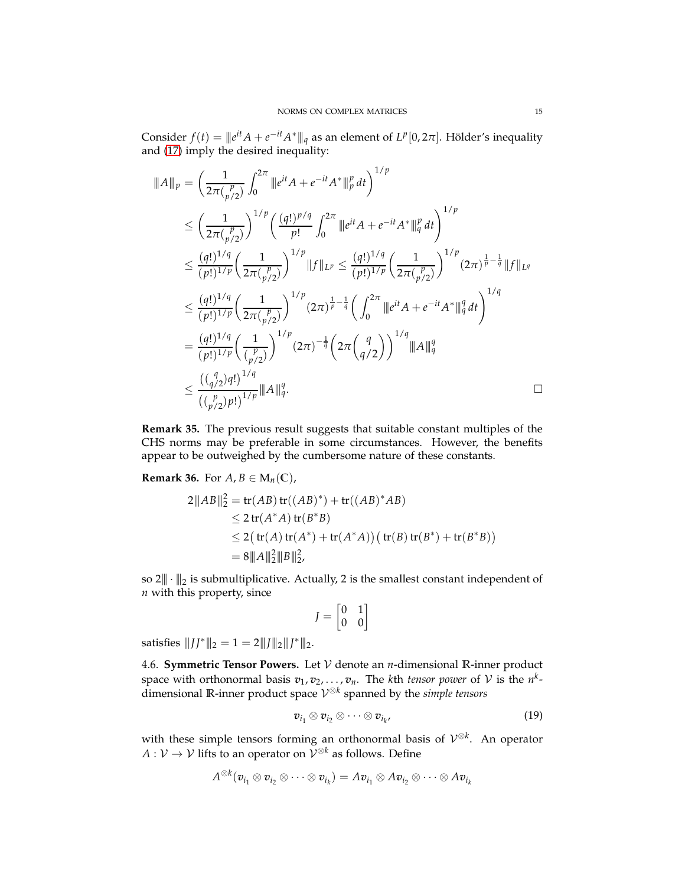Consider  $f(t) = ||e^{it}A + e^{-it}A^*||_q$  as an element of  $L^p[0, 2\pi]$ . Hölder's inequality and [\(17\)](#page-9-2) imply the desired inequality:

$$
\|A\|_{p} = \left(\frac{1}{2\pi(\frac{p}{p/2})}\int_{0}^{2\pi} \|e^{it}A + e^{-it}A^*\|_{p}^{p} dt\right)^{1/p}
$$
\n
$$
\leq \left(\frac{1}{2\pi(\frac{p}{p/2})}\right)^{1/p} \left(\frac{(q!)^{p/q}}{p!} \int_{0}^{2\pi} \|e^{it}A + e^{-it}A^*\|_{q}^{p} dt\right)^{1/p}
$$
\n
$$
\leq \frac{(q!)^{1/q}}{(p!)^{1/p}} \left(\frac{1}{2\pi(\frac{p}{p/2})}\right)^{1/p} \|f\|_{L^{p}} \leq \frac{(q!)^{1/q}}{(p!)^{1/p}} \left(\frac{1}{2\pi(\frac{p}{p/2})}\right)^{1/p} (2\pi)^{\frac{1}{p} - \frac{1}{q}} \|f\|_{L^{q}}
$$
\n
$$
\leq \frac{(q!)^{1/q}}{(p!)^{1/p}} \left(\frac{1}{2\pi(\frac{p}{p/2})}\right)^{1/p} (2\pi)^{\frac{1}{p} - \frac{1}{q}} \left(\int_{0}^{2\pi} \|e^{it}A + e^{-it}A^*\|_{q}^{q} dt\right)^{1/q}
$$
\n
$$
= \frac{(q!)^{1/q}}{(p!)^{1/p}} \left(\frac{1}{(\frac{p}{p/2})}\right)^{1/p} (2\pi)^{-\frac{1}{q}} \left(2\pi\left(\frac{q}{q/2}\right)\right)^{1/q} \|A\|_{q}^{q}
$$
\n
$$
\leq \frac{((q/2)q!)^{1/q}}{((q/2)p!)^{1/p}} \|A\|_{q}^{q}.
$$

**Remark 35.** The previous result suggests that suitable constant multiples of the CHS norms may be preferable in some circumstances. However, the benefits appear to be outweighed by the cumbersome nature of these constants.

<span id="page-14-2"></span>**Remark 36.** For  $A, B \in M_n(\mathbb{C})$ ,

$$
2||AB||_2^2 = tr(AB) tr((AB)^*) + tr((AB)^*AB)
$$
  
\n
$$
\leq 2 tr(A^*A) tr(B^*B)
$$
  
\n
$$
\leq 2 (tr(A) tr(A^*) + tr(A^*A)) (tr(B) tr(B^*) + tr(B^*B))
$$
  
\n
$$
= 8||A||_2^2||B||_2^2,
$$

so  $2||\cdot||_2$  is submultiplicative. Actually, 2 is the smallest constant independent of *n* with this property, since

$$
J=\begin{bmatrix}0&1\\0&0\end{bmatrix}
$$

satisfies  $||JJ^*||_2 = 1 = 2||J||_2||J^*||_2$ .

<span id="page-14-0"></span>4.6. **Symmetric Tensor Powers.** Let V denote an *n*-dimensional **R**-inner product space with orthonormal basis  $v_1, v_2, \ldots, v_n$ . The *k*th *tensor power* of  $\mathcal V$  is the  $n^k$ dimensional **R**-inner product space V ⊗*k* spanned by the *simple tensors*

<span id="page-14-1"></span>
$$
v_{i_1} \otimes v_{i_2} \otimes \cdots \otimes v_{i_k}, \qquad (19)
$$

with these simple tensors forming an orthonormal basis of V ⊗*k* . An operator  $A: \mathcal{V} \to \mathcal{V}$  lifts to an operator on  $\mathcal{V}^{\otimes k}$  as follows. Define

$$
A^{\otimes k}(\bm{v}_{i_1}\otimes \bm{v}_{i_2}\otimes \cdots \otimes \bm{v}_{i_k})=A\bm{v}_{i_1}\otimes A\bm{v}_{i_2}\otimes \cdots \otimes A\bm{v}_{i_k}
$$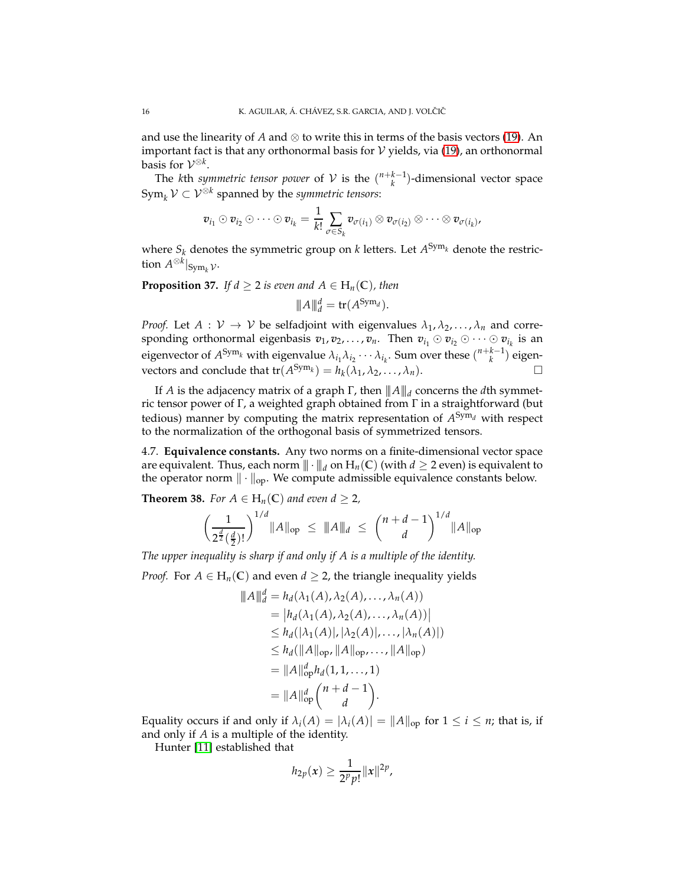and use the linearity of *A* and  $\otimes$  to write this in terms of the basis vectors [\(19\)](#page-14-1). An important fact is that any orthonormal basis for  $V$  yields, via [\(19\)](#page-14-1), an orthonormal basis for  $\mathcal{V}^{\otimes k}$ .

The *k*th *symmetric tensor power* of  $V$  is the  $\binom{n+k-1}{k}$ -dimensional vector space  $\text{Sym}_k \mathcal{V} \subset \mathcal{V}^{\otimes k}$  spanned by the *symmetric tensors*:

$$
\mathbf{v}_{i_1}\odot\mathbf{v}_{i_2}\odot\cdots\odot\mathbf{v}_{i_k}=\frac{1}{k!}\sum_{\sigma\in S_k}\mathbf{v}_{\sigma(i_1)}\otimes\mathbf{v}_{\sigma(i_2)}\otimes\cdots\otimes\mathbf{v}_{\sigma(i_k)},
$$

where  $S_k$  denotes the symmetric group on  $k$  letters. Let  $A^{\text{Sym}_k}$  denote the restriction  $A^{\otimes k}|_{\text{Sym}_k}$   $\mathcal{V}}$ .

**Proposition 37.** *If d*  $\geq$  2 *is even and*  $A \in H_n(\mathbb{C})$ *, then* 

$$
\|A\|_d^d = \text{tr}(A^{\text{Sym}_d}).
$$

*Proof.* Let  $A: V \to V$  be selfadjoint with eigenvalues  $\lambda_1, \lambda_2, \ldots, \lambda_n$  and corresponding orthonormal eigenbasis  $v_1, v_2, \ldots, v_n$ . Then  $v_{i_1} \odot v_{i_2} \odot \cdots \odot v_{i_k}$  is an eigenvector of  $A^{Sym_k}$  with eigenvalue  $\lambda_{i_1}\lambda_{i_2}\cdots\lambda_{i_k}$ . Sum over these  $\binom{n+k-1}{k}$  eigenvectors and conclude that  $tr(A^{Sym_k}) = h_k(\lambda_1, \lambda_2, ..., \lambda_n)$ .

If *A* is the adjacency matrix of a graph Γ, then |||*A*|||*<sup>d</sup>* concerns the *d*th symmetric tensor power of Γ, a weighted graph obtained from Γ in a straightforward (but tedious) manner by computing the matrix representation of *A* Sym*<sup>d</sup>* with respect to the normalization of the orthogonal basis of symmetrized tensors.

4.7. **Equivalence constants.** Any two norms on a finite-dimensional vector space are equivalent. Thus, each norm  $\|\cdot\|_d$  on  $H_n(\mathbb{C})$  (with  $d \geq 2$  even) is equivalent to the operator norm  $\|\cdot\|_{\text{op}}$ . We compute admissible equivalence constants below.

<span id="page-15-0"></span>**Theorem 38.** *For*  $A \in H_n(\mathbb{C})$  *and even*  $d \geq 2$ *,* 

$$
\left(\frac{1}{2^{\frac{d}{2}}(\frac{d}{2})!}\right)^{1/d} \|A\|_{\text{op}} \leq \|A\|_{d} \leq \left(\frac{n+d-1}{d}\right)^{1/d} \|A\|_{\text{op}}
$$

*The upper inequality is sharp if and only if A is a multiple of the identity.*

*Proof.* For  $A \in H_n(\mathbb{C})$  and even  $d \geq 2$ , the triangle inequality yields

$$
\|A\|_{d}^{d} = h_{d}(\lambda_{1}(A), \lambda_{2}(A), ..., \lambda_{n}(A))
$$
  
\n
$$
= |h_{d}(\lambda_{1}(A), \lambda_{2}(A), ..., \lambda_{n}(A))|
$$
  
\n
$$
\leq h_{d}(|\lambda_{1}(A)|, |\lambda_{2}(A)|, ..., |\lambda_{n}(A)|)
$$
  
\n
$$
\leq h_{d}(\|A\|_{\text{op}}, \|A\|_{\text{op}}, ..., \|A\|_{\text{op}})
$$
  
\n
$$
= \|A\|_{\text{op}}^{d} h_{d}(1, 1, ..., 1)
$$
  
\n
$$
= \|A\|_{\text{op}}^{d} {n + d - 1 \choose d}.
$$

Equality occurs if and only if  $\lambda_i(A) = |\lambda_i(A)| = ||A||_{op}$  for  $1 \leq i \leq n$ ; that is, if and only if *A* is a multiple of the identity.

Hunter [\[11\]](#page-17-0) established that

$$
h_{2p}(x) \ge \frac{1}{2^p p!} ||x||^{2p},
$$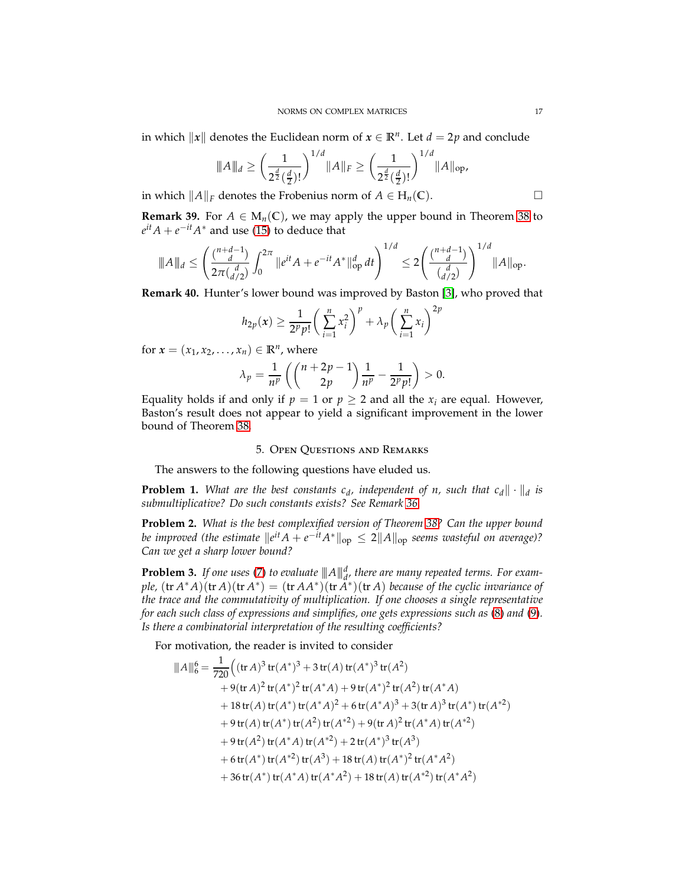in which  $\Vert x \Vert$  denotes the Euclidean norm of  $x \in \mathbb{R}^n$ . Let  $d = 2p$  and conclude

$$
|\!|\!| A |\!|\!|_{d} \geq \left(\frac{1}{2^{\frac{d}{2}}(\frac{d}{2})!}\right)^{1/d} |\!| A |\!|_{F} \geq \left(\frac{1}{2^{\frac{d}{2}}(\frac{d}{2})!}\right)^{1/d} |\!| A |\!|_{\text{op}},
$$

in which  $||A||_F$  denotes the Frobenius norm of *A* ∈ H<sub>*n*</sub>(**C**).  $□$ 

**Remark 39.** For  $A \in M_n(\mathbb{C})$ , we may apply the upper bound in Theorem [38](#page-15-0) to  $e^{it}A + e^{-it}A^*$  and use [\(15\)](#page-7-3) to deduce that

$$
\|A\|_d \le \left(\frac{\binom{n+d-1}{d}}{2\pi \binom{d}{d/2}} \int_0^{2\pi} \|e^{it} A + e^{-it} A^*\|_{\text{op}}^d dt\right)^{1/d} \le 2 \left(\frac{\binom{n+d-1}{d}}{\binom{d}{d/2}}\right)^{1/d} \|A\|_{\text{op}}.
$$

**Remark 40.** Hunter's lower bound was improved by Baston [\[3\]](#page-17-2), who proved that

$$
h_{2p}(x) \geq \frac{1}{2^p p!} \left(\sum_{i=1}^n x_i^2\right)^p + \lambda_p \left(\sum_{i=1}^n x_i\right)^{2p}
$$

for  $x = (x_1, x_2, \ldots, x_n) \in \mathbb{R}^n$ , where

$$
\lambda_p = \frac{1}{n^p} \left( \binom{n+2p-1}{2p} \frac{1}{n^p} - \frac{1}{2^p p!} \right) > 0.
$$

<span id="page-16-0"></span>Equality holds if and only if  $p = 1$  or  $p \ge 2$  and all the  $x_i$  are equal. However, Baston's result does not appear to yield a significant improvement in the lower bound of Theorem [38.](#page-15-0)

## 5. Open Questions and Remarks

The answers to the following questions have eluded us.

**Problem 1.** What are the best constants  $c_d$ , independent of n, such that  $c_d$ ,  $\|\cdot\|_d$  is *submultiplicative? Do such constants exists? See Remark [36.](#page-14-2)*

**Problem 2.** *What is the best complexified version of Theorem [38?](#page-15-0) Can the upper bound be improved (the estimate*  $\|e^{it}A + e^{-it}A^*\|_{\text{op}} \leq 2\|A\|_{\text{op}}$  seems wasteful on average)? *Can we get a sharp lower bound?*

**Problem 3.** *If one uses* [\(7\)](#page-3-0) *to evaluate*  $||A||_d^d$ , *there are many repeated terms. For example,*  $(\text{tr } A^*A)(\text{tr } A)(\text{tr } A^*) = (\text{tr } AA^*)(\text{tr } \tilde{A^*})(\text{tr } A)$  because of the cyclic invariance of *the trace and the commutativity of multiplication. If one chooses a single representative for each such class of expressions and simplifies, one gets expressions such as* [\(8\)](#page-3-2) *and* [\(9\)](#page-3-3)*. Is there a combinatorial interpretation of the resulting coefficients?*

For motivation, the reader is invited to consider

$$
\|A\|_{6}^{6} = \frac{1}{720} \Big( (\text{tr } A)^{3} \text{ tr}(A^{*})^{3} + 3 \text{ tr}(A) \text{ tr}(A^{*})^{3} \text{ tr}(A^{2})
$$
  
+ 9( $\text{tr } A$ )<sup>2</sup> tr(A^{\*})^{2} tr(A^{\*}A) + 9 \text{ tr}(A^{\*})^{2} tr(A^{2}) tr(A^{\*}A)  
+ 18 \text{ tr}(A) tr(A^{\*}) tr(A^{\*}A)^{2} + 6 \text{ tr}(A^{\*}A)^{3} + 3 (\text{tr } A)^{3} tr(A^{\*}) tr(A^{\*}A)  
+ 9 \text{ tr}(A) tr(A^{\*}) tr(A^{2}) tr(A^{\*2}) + 9 (\text{tr } A)^{2} tr(A^{\*}A) tr(A^{\*2})  
+ 9 \text{ tr}(A^{2}) tr(A^{\*}A) tr(A^{\*2}) + 2 \text{ tr}(A^{\*})^{3} tr(A^{3})  
+ 6 \text{ tr}(A^{\*}) tr(A^{\*2}) tr(A^{3}) + 18 \text{ tr}(A) tr(A^{\*})^{2} tr(A^{\*}A^{2})  
+ 36 \text{ tr}(A^{\*}) tr(A^{\*}A) tr(A^{\*}A^{2}) + 18 \text{ tr}(A) tr(A^{\*2}) tr(A^{\*}A^{2})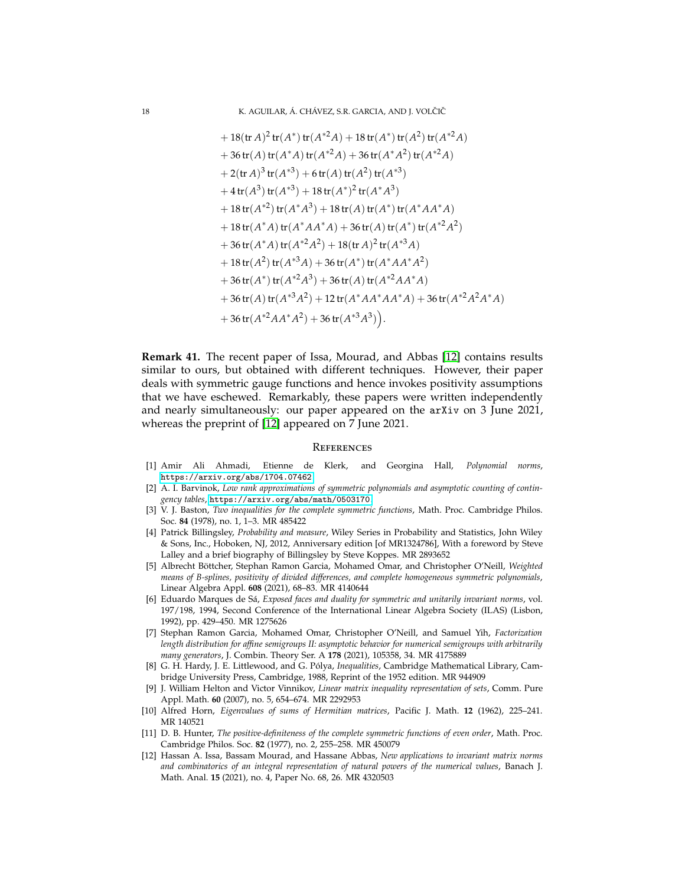+ 18(tr *A*) 2 tr(*A* ∗ )tr(*A* <sup>∗</sup>2*A*) + 18 tr(*A* ∗ )tr(*A* 2 )tr(*A* <sup>∗</sup>2*A*) + 36 tr(*A*)tr(*A* <sup>∗</sup>*A*)tr(*A* <sup>∗</sup>2*A*) + 36 tr(*A* ∗*A* 2 )tr(*A* <sup>∗</sup>2*A*) + 2(tr *A*) 3 tr(*A* ∗3 ) + 6 tr(*A*)tr(*A* 2 )tr(*A* ∗3 ) + 4 tr(*A* 3 )tr(*A* ∗3 ) + 18 tr(*A* ∗ ) 2 tr(*A* ∗*A* 3 ) + 18 tr(*A* ∗2 )tr(*A* ∗*A* 3 ) + 18 tr(*A*)tr(*A* ∗ )tr(*A* <sup>∗</sup>*AA*∗*A*) + 18 tr(*A* <sup>∗</sup>*A*)tr(*A* <sup>∗</sup>*AA*∗*A*) + 36 tr(*A*)tr(*A* ∗ )tr(*A* <sup>∗</sup>2*A* 2 ) + 36 tr(*A* <sup>∗</sup>*A*)tr(*A* <sup>∗</sup>2*A* 2 ) + 18(tr *A*) 2 tr(*A* <sup>∗</sup>3*A*) + 18 tr(*A* 2 )tr(*A* <sup>∗</sup>3*A*) + 36 tr(*A* ∗ )tr(*A* <sup>∗</sup>*AA*∗*A* 2 ) + 36 tr(*A* ∗ )tr(*A* <sup>∗</sup>2*A* 3 ) + 36 tr(*A*)tr(*A* <sup>∗</sup>2*AA*∗*A*) + 36 tr(*A*)tr(*A* <sup>∗</sup>3*A* 2 ) + 12 tr(*A* <sup>∗</sup>*AA*∗*AA*∗*A*) + 36 tr(*A* <sup>∗</sup>2*A* 2*A* <sup>∗</sup>*A*) + 36 tr(*A* <sup>∗</sup>2*AA*∗*A* 2 ) + 36 tr(*A* <sup>∗</sup>3*A* 3 ) .

**Remark 41.** The recent paper of Issa, Mourad, and Abbas [\[12\]](#page-17-11) contains results similar to ours, but obtained with different techniques. However, their paper deals with symmetric gauge functions and hence invokes positivity assumptions that we have eschewed. Remarkably, these papers were written independently and nearly simultaneously: our paper appeared on the arXiv on 3 June 2021, whereas the preprint of [\[12\]](#page-17-11) appeared on 7 June 2021.

#### **REFERENCES**

- <span id="page-17-6"></span>[1] Amir Ali Ahmadi, Etienne de Klerk, and Georgina Hall, *Polynomial norms*, <https://arxiv.org/abs/1704.07462>.
- <span id="page-17-1"></span>[2] A. I. Barvinok, *Low rank approximations of symmetric polynomials and asymptotic counting of contingency tables*, <https://arxiv.org/abs/math/0503170>.
- <span id="page-17-2"></span>[3] V. J. Baston, *Two inequalities for the complete symmetric functions*, Math. Proc. Cambridge Philos. Soc. **84** (1978), no. 1, 1–3. MR 485422
- <span id="page-17-8"></span>[4] Patrick Billingsley, *Probability and measure*, Wiley Series in Probability and Statistics, John Wiley & Sons, Inc., Hoboken, NJ, 2012, Anniversary edition [of MR1324786], With a foreword by Steve Lalley and a brief biography of Billingsley by Steve Koppes. MR 2893652
- <span id="page-17-3"></span>[5] Albrecht Böttcher, Stephan Ramon Garcia, Mohamed Omar, and Christopher O'Neill, *Weighted means of B-splines, positivity of divided differences, and complete homogeneous symmetric polynomials*, Linear Algebra Appl. **608** (2021), 68–83. MR 4140644
- <span id="page-17-9"></span>[6] Eduardo Marques de Sá, *Exposed faces and duality for symmetric and unitarily invariant norms*, vol. 197/198, 1994, Second Conference of the International Linear Algebra Society (ILAS) (Lisbon, 1992), pp. 429–450. MR 1275626
- <span id="page-17-4"></span>[7] Stephan Ramon Garcia, Mohamed Omar, Christopher O'Neill, and Samuel Yih, *Factorization length distribution for affine semigroups II: asymptotic behavior for numerical semigroups with arbitrarily many generators*, J. Combin. Theory Ser. A **178** (2021), 105358, 34. MR 4175889
- <span id="page-17-10"></span>[8] G. H. Hardy, J. E. Littlewood, and G. Pólya, *Inequalities*, Cambridge Mathematical Library, Cambridge University Press, Cambridge, 1988, Reprint of the 1952 edition. MR 944909
- <span id="page-17-7"></span>[9] J. William Helton and Victor Vinnikov, *Linear matrix inequality representation of sets*, Comm. Pure Appl. Math. **60** (2007), no. 5, 654–674. MR 2292953
- <span id="page-17-5"></span>[10] Alfred Horn, *Eigenvalues of sums of Hermitian matrices*, Pacific J. Math. **12** (1962), 225–241. MR 140521
- <span id="page-17-0"></span>[11] D. B. Hunter, *The positive-definiteness of the complete symmetric functions of even order*, Math. Proc. Cambridge Philos. Soc. **82** (1977), no. 2, 255–258. MR 450079
- <span id="page-17-11"></span>[12] Hassan A. Issa, Bassam Mourad, and Hassane Abbas, *New applications to invariant matrix norms and combinatorics of an integral representation of natural powers of the numerical values*, Banach J. Math. Anal. **15** (2021), no. 4, Paper No. 68, 26. MR 4320503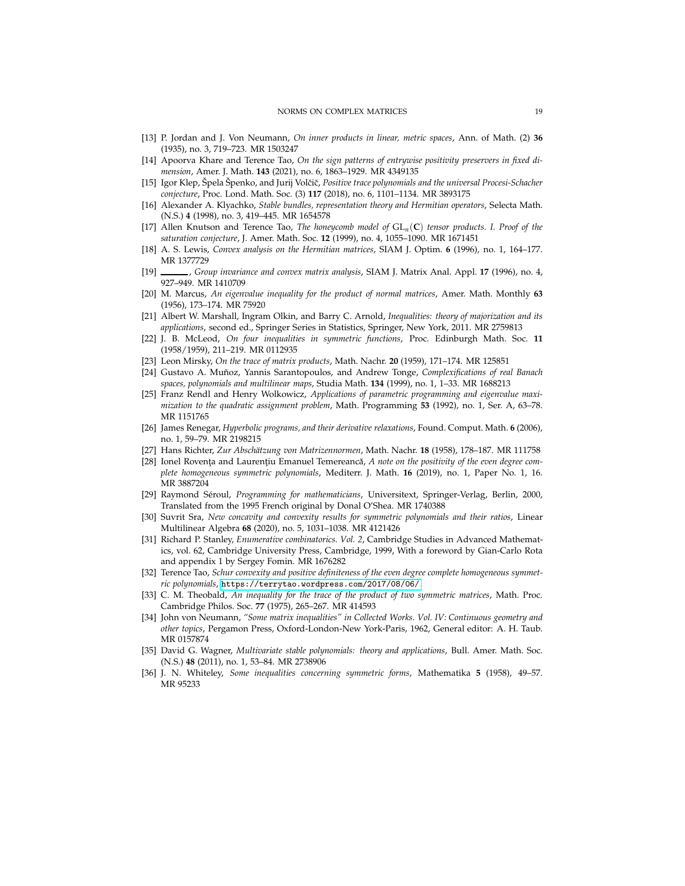- <span id="page-18-23"></span><span id="page-18-17"></span>[13] P. Jordan and J. Von Neumann, *On inner products in linear, metric spaces*, Ann. of Math. (2) **36** (1935), no. 3, 719–723. MR 1503247
- [14] Apoorva Khare and Terence Tao, *On the sign patterns of entrywise positivity preservers in fixed dimension*, Amer. J. Math. **143** (2021), no. 6, 1863–1929. MR 4349135
- <span id="page-18-21"></span>[15] Igor Klep, Špela Špenko, and Jurij Volˇciˇc, *Positive trace polynomials and the universal Procesi-Schacher conjecture*, Proc. Lond. Math. Soc. (3) **117** (2018), no. 6, 1101–1134. MR 3893175
- <span id="page-18-3"></span>[16] Alexander A. Klyachko, *Stable bundles, representation theory and Hermitian operators*, Selecta Math. (N.S.) **4** (1998), no. 3, 419–445. MR 1654578
- <span id="page-18-4"></span>[17] Allen Knutson and Terence Tao, *The honeycomb model of* GL*n*(**C**) *tensor products. I. Proof of the saturation conjecture*, J. Amer. Math. Soc. **12** (1999), no. 4, 1055–1090. MR 1671451
- <span id="page-18-8"></span><span id="page-18-5"></span>[18] A. S. Lewis, *Convex analysis on the Hermitian matrices*, SIAM J. Optim. **6** (1996), no. 1, 164–177. MR 1377729
- <span id="page-18-10"></span>[19] , *Group invariance and convex matrix analysis*, SIAM J. Matrix Anal. Appl. **17** (1996), no. 4, 927–949. MR 1410709
- [20] M. Marcus, *An eigenvalue inequality for the product of normal matrices*, Amer. Math. Monthly **63** (1956), 173–174. MR 75920
- <span id="page-18-11"></span>[21] Albert W. Marshall, Ingram Olkin, and Barry C. Arnold, *Inequalities: theory of majorization and its applications*, second ed., Springer Series in Statistics, Springer, New York, 2011. MR 2759813
- <span id="page-18-18"></span>[22] J. B. McLeod, *On four inequalities in symmetric functions*, Proc. Edinburgh Math. Soc. **11** (1958/1959), 211–219. MR 0112935
- <span id="page-18-20"></span><span id="page-18-12"></span>[23] Leon Mirsky, *On the trace of matrix products*, Math. Nachr. **20** (1959), 171–174. MR 125851
- [24] Gustavo A. Muñoz, Yannis Sarantopoulos, and Andrew Tonge, *Complexifications of real Banach spaces, polynomials and multilinear maps*, Studia Math. **134** (1999), no. 1, 1–33. MR 1688213
- <span id="page-18-14"></span>[25] Franz Rendl and Henry Wolkowicz, *Applications of parametric programming and eigenvalue maximization to the quadratic assignment problem*, Math. Programming **53** (1992), no. 1, Ser. A, 63–78. MR 1151765
- <span id="page-18-6"></span>[26] James Renegar, *Hyperbolic programs, and their derivative relaxations*, Found. Comput. Math. **6** (2006), no. 1, 59–79. MR 2198215
- <span id="page-18-13"></span><span id="page-18-1"></span>[27] Hans Richter, *Zur Abschätzung von Matrizennormen*, Math. Nachr. **18** (1958), 178–187. MR 111758
- [28] Ionel Rovența and Laurențiu Emanuel Temereancă, A note on the positivity of the even degree com*plete homogeneous symmetric polynomials*, Mediterr. J. Math. **16** (2019), no. 1, Paper No. 1, 16. MR 3887204
- <span id="page-18-22"></span>[29] Raymond Séroul, *Programming for mathematicians*, Universitext, Springer-Verlag, Berlin, 2000, Translated from the 1995 French original by Donal O'Shea. MR 1740388
- <span id="page-18-16"></span>[30] Suvrit Sra, *New concavity and convexity results for symmetric polynomials and their ratios*, Linear Multilinear Algebra **68** (2020), no. 5, 1031–1038. MR 4121426
- <span id="page-18-0"></span>[31] Richard P. Stanley, *Enumerative combinatorics. Vol. 2*, Cambridge Studies in Advanced Mathematics, vol. 62, Cambridge University Press, Cambridge, 1999, With a foreword by Gian-Carlo Rota and appendix 1 by Sergey Fomin. MR 1676282
- <span id="page-18-2"></span>[32] Terence Tao, *Schur convexity and positive definiteness of the even degree complete homogeneous symmetric polynomials*, <https://terrytao.wordpress.com/2017/08/06/>.
- <span id="page-18-15"></span>[33] C. M. Theobald, *An inequality for the trace of the product of two symmetric matrices*, Math. Proc. Cambridge Philos. Soc. **77** (1975), 265–267. MR 414593
- <span id="page-18-9"></span>[34] John von Neumann, *"Some matrix inequalities" in Collected Works. Vol. IV: Continuous geometry and other topics*, Pergamon Press, Oxford-London-New York-Paris, 1962, General editor: A. H. Taub. MR 0157874
- <span id="page-18-7"></span>[35] David G. Wagner, *Multivariate stable polynomials: theory and applications*, Bull. Amer. Math. Soc. (N.S.) **48** (2011), no. 1, 53–84. MR 2738906
- <span id="page-18-19"></span>[36] J. N. Whiteley, *Some inequalities concerning symmetric forms*, Mathematika **5** (1958), 49–57. MR 95233